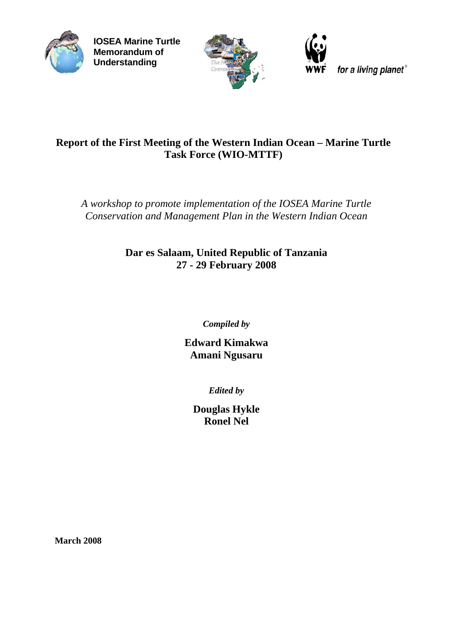

**IOSEA Marine Turtle Memorandum of Understanding**



for a living planet®

# **Report of the First Meeting of the Western Indian Ocean – Marine Turtle Task Force (WIO-MTTF)**

*A workshop to promote implementation of the IOSEA Marine Turtle Conservation and Management Plan in the Western Indian Ocean* 

> **Dar es Salaam, United Republic of Tanzania 27 - 29 February 2008**

> > *Compiled by*

**Edward Kimakwa Amani Ngusaru** 

*Edited by* 

**Douglas Hykle Ronel Nel** 

**March 2008**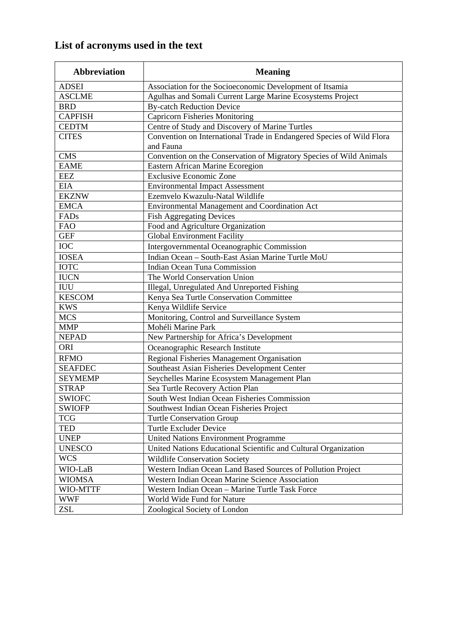# **List of acronyms used in the text**

| <b>Abbreviation</b> | <b>Meaning</b>                                                        |  |  |  |  |
|---------------------|-----------------------------------------------------------------------|--|--|--|--|
| <b>ADSEI</b>        | Association for the Socioeconomic Development of Itsamia              |  |  |  |  |
| <b>ASCLME</b>       | Agulhas and Somali Current Large Marine Ecosystems Project            |  |  |  |  |
| <b>BRD</b>          | <b>By-catch Reduction Device</b>                                      |  |  |  |  |
| <b>CAPFISH</b>      | <b>Capricorn Fisheries Monitoring</b>                                 |  |  |  |  |
| <b>CEDTM</b>        | Centre of Study and Discovery of Marine Turtles                       |  |  |  |  |
| <b>CITES</b>        | Convention on International Trade in Endangered Species of Wild Flora |  |  |  |  |
|                     | and Fauna                                                             |  |  |  |  |
| <b>CMS</b>          | Convention on the Conservation of Migratory Species of Wild Animals   |  |  |  |  |
| <b>EAME</b>         | Eastern African Marine Ecoregion                                      |  |  |  |  |
| EEZ                 | <b>Exclusive Economic Zone</b>                                        |  |  |  |  |
| <b>EIA</b>          | <b>Environmental Impact Assessment</b>                                |  |  |  |  |
| <b>EKZNW</b>        | Ezemvelo Kwazulu-Natal Wildlife                                       |  |  |  |  |
| <b>EMCA</b>         | Environmental Management and Coordination Act                         |  |  |  |  |
| FADs                | <b>Fish Aggregating Devices</b>                                       |  |  |  |  |
| <b>FAO</b>          | Food and Agriculture Organization                                     |  |  |  |  |
| <b>GEF</b>          | <b>Global Environment Facility</b>                                    |  |  |  |  |
| <b>IOC</b>          | Intergovernmental Oceanographic Commission                            |  |  |  |  |
| <b>IOSEA</b>        | Indian Ocean - South-East Asian Marine Turtle MoU                     |  |  |  |  |
| <b>IOTC</b>         | Indian Ocean Tuna Commission                                          |  |  |  |  |
| <b>IUCN</b>         | The World Conservation Union                                          |  |  |  |  |
| ${\rm IUU}$         | Illegal, Unregulated And Unreported Fishing                           |  |  |  |  |
| <b>KESCOM</b>       | Kenya Sea Turtle Conservation Committee                               |  |  |  |  |
| <b>KWS</b>          | Kenya Wildlife Service                                                |  |  |  |  |
| <b>MCS</b>          | Monitoring, Control and Surveillance System                           |  |  |  |  |
| <b>MMP</b>          | Mohéli Marine Park                                                    |  |  |  |  |
| <b>NEPAD</b>        | New Partnership for Africa's Development                              |  |  |  |  |
| <b>ORI</b>          | Oceanographic Research Institute                                      |  |  |  |  |
| <b>RFMO</b>         | Regional Fisheries Management Organisation                            |  |  |  |  |
| <b>SEAFDEC</b>      | Southeast Asian Fisheries Development Center                          |  |  |  |  |
| <b>SEYMEMP</b>      | Seychelles Marine Ecosystem Management Plan                           |  |  |  |  |
| <b>STRAP</b>        | Sea Turtle Recovery Action Plan                                       |  |  |  |  |
| <b>SWIOFC</b>       | South West Indian Ocean Fisheries Commission                          |  |  |  |  |
| <b>SWIOFP</b>       | Southwest Indian Ocean Fisheries Project                              |  |  |  |  |
| <b>TCG</b>          | <b>Turtle Conservation Group</b>                                      |  |  |  |  |
| <b>TED</b>          | <b>Turtle Excluder Device</b>                                         |  |  |  |  |
| <b>UNEP</b>         | United Nations Environment Programme                                  |  |  |  |  |
| <b>UNESCO</b>       | United Nations Educational Scientific and Cultural Organization       |  |  |  |  |
| <b>WCS</b>          | <b>Wildlife Conservation Society</b>                                  |  |  |  |  |
| WIO-LaB             | Western Indian Ocean Land Based Sources of Pollution Project          |  |  |  |  |
| <b>WIOMSA</b>       | Western Indian Ocean Marine Science Association                       |  |  |  |  |
| WIO-MTTF            | Western Indian Ocean - Marine Turtle Task Force                       |  |  |  |  |
| <b>WWF</b>          | World Wide Fund for Nature                                            |  |  |  |  |
| <b>ZSL</b>          | Zoological Society of London                                          |  |  |  |  |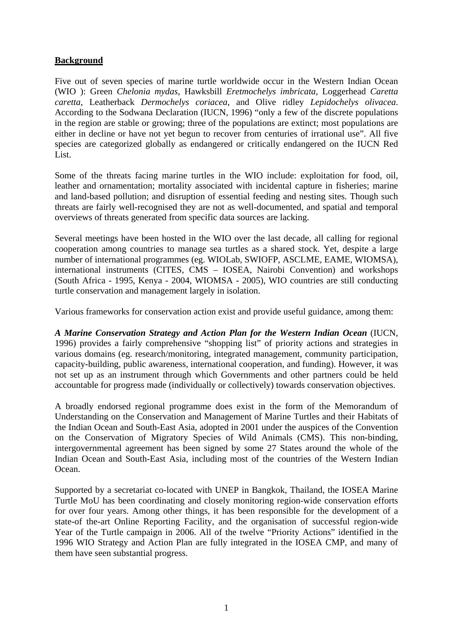## **Background**

Five out of seven species of marine turtle worldwide occur in the Western Indian Ocean (WIO ): Green *Chelonia mydas*, Hawksbill *Eretmochelys imbricata*, Loggerhead *Caretta caretta*, Leatherback *Dermochelys coriacea*, and Olive ridley *Lepidochelys olivacea*. According to the Sodwana Declaration (IUCN, 1996) "only a few of the discrete populations in the region are stable or growing; three of the populations are extinct; most populations are either in decline or have not yet begun to recover from centuries of irrational use". All five species are categorized globally as endangered or critically endangered on the IUCN Red List.

Some of the threats facing marine turtles in the WIO include: exploitation for food, oil, leather and ornamentation; mortality associated with incidental capture in fisheries; marine and land-based pollution; and disruption of essential feeding and nesting sites. Though such threats are fairly well-recognised they are not as well-documented, and spatial and temporal overviews of threats generated from specific data sources are lacking.

Several meetings have been hosted in the WIO over the last decade, all calling for regional cooperation among countries to manage sea turtles as a shared stock. Yet, despite a large number of international programmes (eg. WIOLab, SWIOFP, ASCLME, EAME, WIOMSA), international instruments (CITES, CMS – IOSEA, Nairobi Convention) and workshops (South Africa - 1995, Kenya - 2004, WIOMSA - 2005), WIO countries are still conducting turtle conservation and management largely in isolation.

Various frameworks for conservation action exist and provide useful guidance, among them:

*A Marine Conservation Strategy and Action Plan for the Western Indian Ocean* (IUCN, 1996) provides a fairly comprehensive "shopping list" of priority actions and strategies in various domains (eg. research/monitoring, integrated management, community participation, capacity-building, public awareness, international cooperation, and funding). However, it was not set up as an instrument through which Governments and other partners could be held accountable for progress made (individually or collectively) towards conservation objectives.

A broadly endorsed regional programme does exist in the form of the Memorandum of Understanding on the Conservation and Management of Marine Turtles and their Habitats of the Indian Ocean and South-East Asia, adopted in 2001 under the auspices of the Convention on the Conservation of Migratory Species of Wild Animals (CMS). This non-binding, intergovernmental agreement has been signed by some 27 States around the whole of the Indian Ocean and South-East Asia, including most of the countries of the Western Indian Ocean.

Supported by a secretariat co-located with UNEP in Bangkok, Thailand, the IOSEA Marine Turtle MoU has been coordinating and closely monitoring region-wide conservation efforts for over four years. Among other things, it has been responsible for the development of a state-of the-art Online Reporting Facility, and the organisation of successful region-wide Year of the Turtle campaign in 2006. All of the twelve "Priority Actions" identified in the 1996 WIO Strategy and Action Plan are fully integrated in the IOSEA CMP, and many of them have seen substantial progress.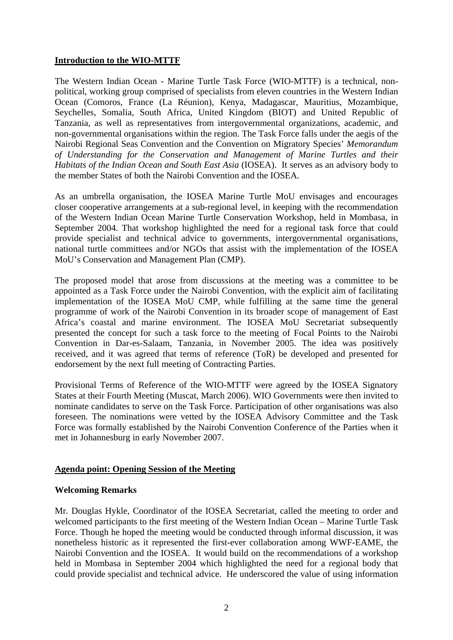### **Introduction to the WIO-MTTF**

The Western Indian Ocean - Marine Turtle Task Force (WIO-MTTF) is a technical, nonpolitical, working group comprised of specialists from eleven countries in the Western Indian Ocean (Comoros, France (La Réunion), Kenya, Madagascar, Mauritius, Mozambique, Seychelles, Somalia, South Africa, United Kingdom (BIOT) and United Republic of Tanzania, as well as representatives from intergovernmental organizations, academic, and non-governmental organisations within the region. The Task Force falls under the aegis of the Nairobi Regional Seas Convention and the Convention on Migratory Species' *Memorandum of Understanding for the Conservation and Management of Marine Turtles and their Habitats of the Indian Ocean and South East Asia* (IOSEA). It serves as an advisory body to the member States of both the Nairobi Convention and the IOSEA.

As an umbrella organisation, the IOSEA Marine Turtle MoU envisages and encourages closer cooperative arrangements at a sub-regional level, in keeping with the recommendation of the Western Indian Ocean Marine Turtle Conservation Workshop, held in Mombasa, in September 2004. That workshop highlighted the need for a regional task force that could provide specialist and technical advice to governments, intergovernmental organisations, national turtle committees and/or NGOs that assist with the implementation of the IOSEA MoU's Conservation and Management Plan (CMP).

The proposed model that arose from discussions at the meeting was a committee to be appointed as a Task Force under the Nairobi Convention, with the explicit aim of facilitating implementation of the IOSEA MoU CMP, while fulfilling at the same time the general programme of work of the Nairobi Convention in its broader scope of management of East Africa's coastal and marine environment. The IOSEA MoU Secretariat subsequently presented the concept for such a task force to the meeting of Focal Points to the Nairobi Convention in Dar-es-Salaam, Tanzania, in November 2005. The idea was positively received, and it was agreed that terms of reference (ToR) be developed and presented for endorsement by the next full meeting of Contracting Parties.

Provisional Terms of Reference of the WIO-MTTF were agreed by the IOSEA Signatory States at their Fourth Meeting (Muscat, March 2006). WIO Governments were then invited to nominate candidates to serve on the Task Force. Participation of other organisations was also foreseen. The nominations were vetted by the IOSEA Advisory Committee and the Task Force was formally established by the Nairobi Convention Conference of the Parties when it met in Johannesburg in early November 2007.

## **Agenda point: Opening Session of the Meeting**

#### **Welcoming Remarks**

Mr. Douglas Hykle, Coordinator of the IOSEA Secretariat, called the meeting to order and welcomed participants to the first meeting of the Western Indian Ocean – Marine Turtle Task Force. Though he hoped the meeting would be conducted through informal discussion, it was nonetheless historic as it represented the first-ever collaboration among WWF-EAME, the Nairobi Convention and the IOSEA. It would build on the recommendations of a workshop held in Mombasa in September 2004 which highlighted the need for a regional body that could provide specialist and technical advice. He underscored the value of using information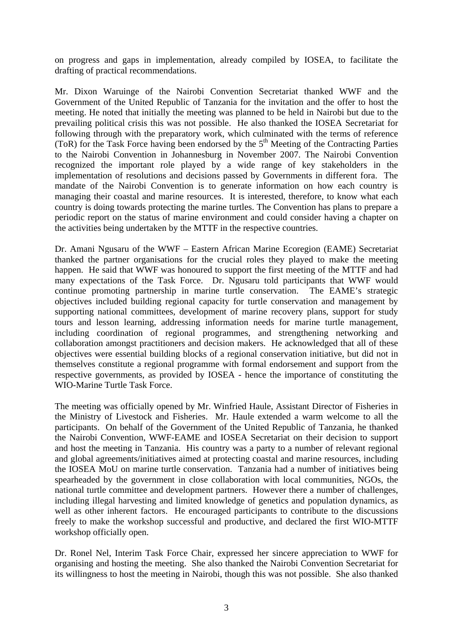on progress and gaps in implementation, already compiled by IOSEA, to facilitate the drafting of practical recommendations.

Mr. Dixon Waruinge of the Nairobi Convention Secretariat thanked WWF and the Government of the United Republic of Tanzania for the invitation and the offer to host the meeting. He noted that initially the meeting was planned to be held in Nairobi but due to the prevailing political crisis this was not possible. He also thanked the IOSEA Secretariat for following through with the preparatory work, which culminated with the terms of reference (ToR) for the Task Force having been endorsed by the  $5<sup>th</sup>$  Meeting of the Contracting Parties to the Nairobi Convention in Johannesburg in November 2007. The Nairobi Convention recognized the important role played by a wide range of key stakeholders in the implementation of resolutions and decisions passed by Governments in different fora. The mandate of the Nairobi Convention is to generate information on how each country is managing their coastal and marine resources. It is interested, therefore, to know what each country is doing towards protecting the marine turtles. The Convention has plans to prepare a periodic report on the status of marine environment and could consider having a chapter on the activities being undertaken by the MTTF in the respective countries.

Dr. Amani Ngusaru of the WWF – Eastern African Marine Ecoregion (EAME) Secretariat thanked the partner organisations for the crucial roles they played to make the meeting happen. He said that WWF was honoured to support the first meeting of the MTTF and had many expectations of the Task Force. Dr. Ngusaru told participants that WWF would continue promoting partnership in marine turtle conservation. The EAME's strategic objectives included building regional capacity for turtle conservation and management by supporting national committees, development of marine recovery plans, support for study tours and lesson learning, addressing information needs for marine turtle management, including coordination of regional programmes, and strengthening networking and collaboration amongst practitioners and decision makers. He acknowledged that all of these objectives were essential building blocks of a regional conservation initiative, but did not in themselves constitute a regional programme with formal endorsement and support from the respective governments, as provided by IOSEA - hence the importance of constituting the WIO-Marine Turtle Task Force.

The meeting was officially opened by Mr. Winfried Haule, Assistant Director of Fisheries in the Ministry of Livestock and Fisheries. Mr. Haule extended a warm welcome to all the participants. On behalf of the Government of the United Republic of Tanzania, he thanked the Nairobi Convention, WWF-EAME and IOSEA Secretariat on their decision to support and host the meeting in Tanzania. His country was a party to a number of relevant regional and global agreements/initiatives aimed at protecting coastal and marine resources, including the IOSEA MoU on marine turtle conservation. Tanzania had a number of initiatives being spearheaded by the government in close collaboration with local communities, NGOs, the national turtle committee and development partners. However there a number of challenges, including illegal harvesting and limited knowledge of genetics and population dynamics, as well as other inherent factors. He encouraged participants to contribute to the discussions freely to make the workshop successful and productive, and declared the first WIO-MTTF workshop officially open.

Dr. Ronel Nel, Interim Task Force Chair, expressed her sincere appreciation to WWF for organising and hosting the meeting. She also thanked the Nairobi Convention Secretariat for its willingness to host the meeting in Nairobi, though this was not possible. She also thanked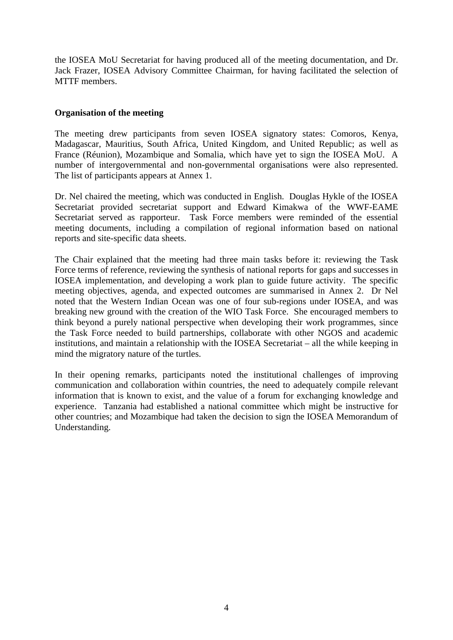the IOSEA MoU Secretariat for having produced all of the meeting documentation, and Dr. Jack Frazer, IOSEA Advisory Committee Chairman, for having facilitated the selection of MTTF members.

### **Organisation of the meeting**

The meeting drew participants from seven IOSEA signatory states: Comoros, Kenya, Madagascar, Mauritius, South Africa, United Kingdom, and United Republic; as well as France (Réunion), Mozambique and Somalia, which have yet to sign the IOSEA MoU. A number of intergovernmental and non-governmental organisations were also represented. The list of participants appears at Annex 1.

Dr. Nel chaired the meeting, which was conducted in English. Douglas Hykle of the IOSEA Secretariat provided secretariat support and Edward Kimakwa of the WWF-EAME Secretariat served as rapporteur. Task Force members were reminded of the essential meeting documents, including a compilation of regional information based on national reports and site-specific data sheets.

The Chair explained that the meeting had three main tasks before it: reviewing the Task Force terms of reference, reviewing the synthesis of national reports for gaps and successes in IOSEA implementation, and developing a work plan to guide future activity. The specific meeting objectives, agenda, and expected outcomes are summarised in Annex 2. Dr Nel noted that the Western Indian Ocean was one of four sub-regions under IOSEA, and was breaking new ground with the creation of the WIO Task Force. She encouraged members to think beyond a purely national perspective when developing their work programmes, since the Task Force needed to build partnerships, collaborate with other NGOS and academic institutions, and maintain a relationship with the IOSEA Secretariat – all the while keeping in mind the migratory nature of the turtles.

In their opening remarks, participants noted the institutional challenges of improving communication and collaboration within countries, the need to adequately compile relevant information that is known to exist, and the value of a forum for exchanging knowledge and experience. Tanzania had established a national committee which might be instructive for other countries; and Mozambique had taken the decision to sign the IOSEA Memorandum of Understanding.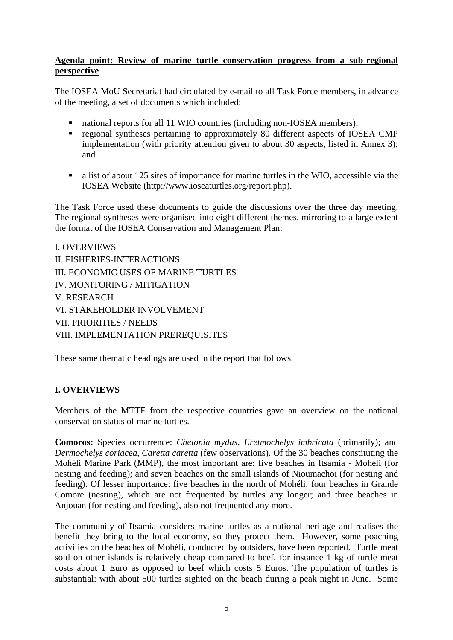### **Agenda point: Review of marine turtle conservation progress from a sub-regional perspective**

The IOSEA MoU Secretariat had circulated by e-mail to all Task Force members, in advance of the meeting, a set of documents which included:

- national reports for all 11 WIO countries (including non-IOSEA members);
- regional syntheses pertaining to approximately 80 different aspects of IOSEA CMP implementation (with priority attention given to about 30 aspects, listed in Annex 3); and
- a list of about 125 sites of importance for marine turtles in the WIO, accessible via the IOSEA Website (http://www.ioseaturtles.org/report.php).

The Task Force used these documents to guide the discussions over the three day meeting. The regional syntheses were organised into eight different themes, mirroring to a large extent the format of the IOSEA Conservation and Management Plan:

I. OVERVIEWS II. FISHERIES-INTERACTIONS III. ECONOMIC USES OF MARINE TURTLES IV. MONITORING / MITIGATION V. RESEARCH VI. STAKEHOLDER INVOLVEMENT VII. PRIORITIES / NEEDS VIII. IMPLEMENTATION PREREQUISITES

These same thematic headings are used in the report that follows.

## **I. OVERVIEWS**

Members of the MTTF from the respective countries gave an overview on the national conservation status of marine turtles.

**Comoros:** Species occurrence: *Chelonia mydas*, *Eretmochelys imbricata* (primarily); and *Dermochelys coriacea*, *Caretta caretta* (few observations). Of the 30 beaches constituting the Mohéli Marine Park (MMP), the most important are: five beaches in Itsamia - Mohéli (for nesting and feeding); and seven beaches on the small islands of Nioumachoi (for nesting and feeding). Of lesser importance: five beaches in the north of Mohéli; four beaches in Grande Comore (nesting), which are not frequented by turtles any longer; and three beaches in Anjouan (for nesting and feeding), also not frequented any more.

The community of Itsamia considers marine turtles as a national heritage and realises the benefit they bring to the local economy, so they protect them. However, some poaching activities on the beaches of Mohéli, conducted by outsiders, have been reported. Turtle meat sold on other islands is relatively cheap compared to beef, for instance 1 kg of turtle meat costs about 1 Euro as opposed to beef which costs 5 Euros. The population of turtles is substantial: with about 500 turtles sighted on the beach during a peak night in June. Some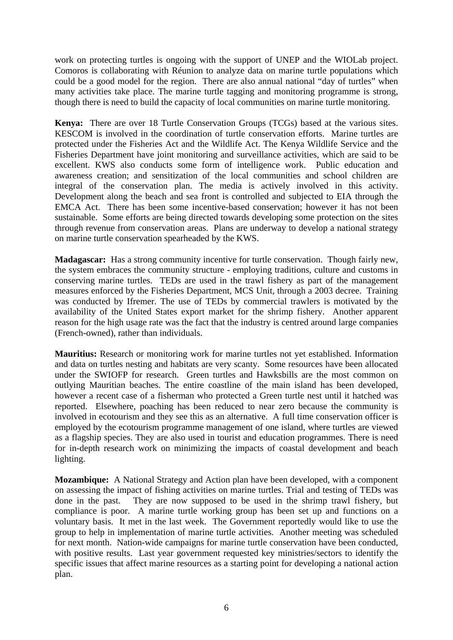work on protecting turtles is ongoing with the support of UNEP and the WIOLab project. Comoros is collaborating with Réunion to analyze data on marine turtle populations which could be a good model for the region. There are also annual national "day of turtles" when many activities take place. The marine turtle tagging and monitoring programme is strong, though there is need to build the capacity of local communities on marine turtle monitoring.

**Kenya:** There are over 18 Turtle Conservation Groups (TCGs) based at the various sites. KESCOM is involved in the coordination of turtle conservation efforts. Marine turtles are protected under the Fisheries Act and the Wildlife Act. The Kenya Wildlife Service and the Fisheries Department have joint monitoring and surveillance activities, which are said to be excellent. KWS also conducts some form of intelligence work. Public education and awareness creation; and sensitization of the local communities and school children are integral of the conservation plan. The media is actively involved in this activity. Development along the beach and sea front is controlled and subjected to EIA through the EMCA Act. There has been some incentive-based conservation; however it has not been sustainable. Some efforts are being directed towards developing some protection on the sites through revenue from conservation areas. Plans are underway to develop a national strategy on marine turtle conservation spearheaded by the KWS.

**Madagascar:** Has a strong community incentive for turtle conservation. Though fairly new, the system embraces the community structure - employing traditions, culture and customs in conserving marine turtles. TEDs are used in the trawl fishery as part of the management measures enforced by the Fisheries Department, MCS Unit, through a 2003 decree. Training was conducted by Ifremer. The use of TEDs by commercial trawlers is motivated by the availability of the United States export market for the shrimp fishery. Another apparent reason for the high usage rate was the fact that the industry is centred around large companies (French-owned), rather than individuals.

**Mauritius:** Research or monitoring work for marine turtles not yet established. Information and data on turtles nesting and habitats are very scanty. Some resources have been allocated under the SWIOFP for research. Green turtles and Hawksbills are the most common on outlying Mauritian beaches. The entire coastline of the main island has been developed, however a recent case of a fisherman who protected a Green turtle nest until it hatched was reported. Elsewhere, poaching has been reduced to near zero because the community is involved in ecotourism and they see this as an alternative. A full time conservation officer is employed by the ecotourism programme management of one island, where turtles are viewed as a flagship species. They are also used in tourist and education programmes. There is need for in-depth research work on minimizing the impacts of coastal development and beach lighting.

**Mozambique:** A National Strategy and Action plan have been developed, with a component on assessing the impact of fishing activities on marine turtles. Trial and testing of TEDs was done in the past. They are now supposed to be used in the shrimp trawl fishery, but compliance is poor. A marine turtle working group has been set up and functions on a voluntary basis. It met in the last week. The Government reportedly would like to use the group to help in implementation of marine turtle activities. Another meeting was scheduled for next month. Nation-wide campaigns for marine turtle conservation have been conducted, with positive results. Last year government requested key ministries/sectors to identify the specific issues that affect marine resources as a starting point for developing a national action plan.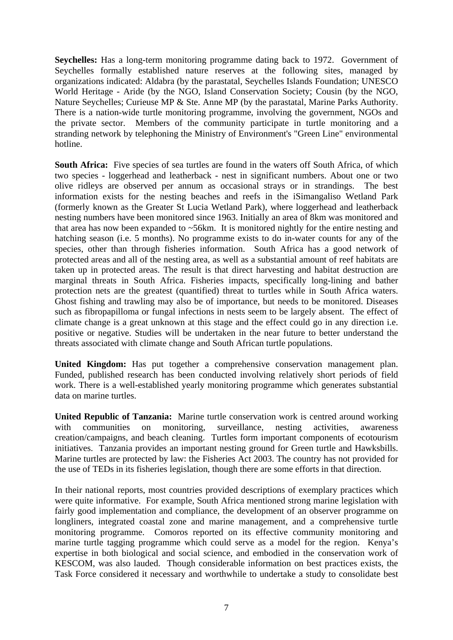**Seychelles:** Has a long-term monitoring programme dating back to 1972. Government of Seychelles formally established nature reserves at the following sites, managed by organizations indicated: Aldabra (by the parastatal, Seychelles Islands Foundation; UNESCO World Heritage - Aride (by the NGO, Island Conservation Society; Cousin (by the NGO, Nature Seychelles; Curieuse MP & Ste. Anne MP (by the parastatal, Marine Parks Authority. There is a nation-wide turtle monitoring programme, involving the government, NGOs and the private sector. Members of the community participate in turtle monitoring and a stranding network by telephoning the Ministry of Environment's "Green Line" environmental hotline.

**South Africa:** Five species of sea turtles are found in the waters off South Africa, of which two species - loggerhead and leatherback - nest in significant numbers. About one or two olive ridleys are observed per annum as occasional strays or in strandings. The best information exists for the nesting beaches and reefs in the iSimangaliso Wetland Park (formerly known as the Greater St Lucia Wetland Park), where loggerhead and leatherback nesting numbers have been monitored since 1963. Initially an area of 8km was monitored and that area has now been expanded to ~56km. It is monitored nightly for the entire nesting and hatching season (i.e. 5 months). No programme exists to do in-water counts for any of the species, other than through fisheries information. South Africa has a good network of protected areas and all of the nesting area, as well as a substantial amount of reef habitats are taken up in protected areas. The result is that direct harvesting and habitat destruction are marginal threats in South Africa. Fisheries impacts, specifically long-lining and bather protection nets are the greatest (quantified) threat to turtles while in South Africa waters. Ghost fishing and trawling may also be of importance, but needs to be monitored. Diseases such as fibropapilloma or fungal infections in nests seem to be largely absent. The effect of climate change is a great unknown at this stage and the effect could go in any direction i.e. positive or negative. Studies will be undertaken in the near future to better understand the threats associated with climate change and South African turtle populations.

**United Kingdom:** Has put together a comprehensive conservation management plan. Funded, published research has been conducted involving relatively short periods of field work. There is a well-established yearly monitoring programme which generates substantial data on marine turtles.

**United Republic of Tanzania:** Marine turtle conservation work is centred around working with communities on monitoring, surveillance, nesting activities, awareness creation/campaigns, and beach cleaning. Turtles form important components of ecotourism initiatives. Tanzania provides an important nesting ground for Green turtle and Hawksbills. Marine turtles are protected by law: the Fisheries Act 2003. The country has not provided for the use of TEDs in its fisheries legislation, though there are some efforts in that direction.

In their national reports, most countries provided descriptions of exemplary practices which were quite informative. For example, South Africa mentioned strong marine legislation with fairly good implementation and compliance, the development of an observer programme on longliners, integrated coastal zone and marine management, and a comprehensive turtle monitoring programme. Comoros reported on its effective community monitoring and marine turtle tagging programme which could serve as a model for the region. Kenya's expertise in both biological and social science, and embodied in the conservation work of KESCOM, was also lauded. Though considerable information on best practices exists, the Task Force considered it necessary and worthwhile to undertake a study to consolidate best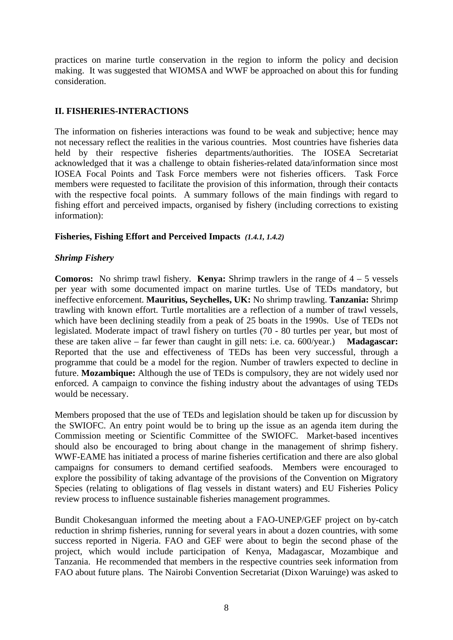practices on marine turtle conservation in the region to inform the policy and decision making. It was suggested that WIOMSA and WWF be approached on about this for funding consideration.

## **II. FISHERIES-INTERACTIONS**

The information on fisheries interactions was found to be weak and subjective; hence may not necessary reflect the realities in the various countries. Most countries have fisheries data held by their respective fisheries departments/authorities. The IOSEA Secretariat acknowledged that it was a challenge to obtain fisheries-related data/information since most IOSEA Focal Points and Task Force members were not fisheries officers. Task Force members were requested to facilitate the provision of this information, through their contacts with the respective focal points. A summary follows of the main findings with regard to fishing effort and perceived impacts, organised by fishery (including corrections to existing information):

## **Fisheries, Fishing Effort and Perceived Impacts** *(1.4.1, 1.4.2)*

## *Shrimp Fishery*

**Comoros:** No shrimp trawl fishery. **Kenya:** Shrimp trawlers in the range of 4 – 5 vessels per year with some documented impact on marine turtles. Use of TEDs mandatory, but ineffective enforcement. **Mauritius, Seychelles, UK:** No shrimp trawling. **Tanzania:** Shrimp trawling with known effort. Turtle mortalities are a reflection of a number of trawl vessels, which have been declining steadily from a peak of 25 boats in the 1990s. Use of TEDs not legislated. Moderate impact of trawl fishery on turtles (70 - 80 turtles per year, but most of these are taken alive – far fewer than caught in gill nets: i.e. ca. 600/year.) **Madagascar:** Reported that the use and effectiveness of TEDs has been very successful, through a programme that could be a model for the region. Number of trawlers expected to decline in future. **Mozambique:** Although the use of TEDs is compulsory, they are not widely used nor enforced. A campaign to convince the fishing industry about the advantages of using TEDs would be necessary.

Members proposed that the use of TEDs and legislation should be taken up for discussion by the SWIOFC. An entry point would be to bring up the issue as an agenda item during the Commission meeting or Scientific Committee of the SWIOFC. Market-based incentives should also be encouraged to bring about change in the management of shrimp fishery. WWF-EAME has initiated a process of marine fisheries certification and there are also global campaigns for consumers to demand certified seafoods. Members were encouraged to explore the possibility of taking advantage of the provisions of the Convention on Migratory Species (relating to obligations of flag vessels in distant waters) and EU Fisheries Policy review process to influence sustainable fisheries management programmes.

Bundit Chokesanguan informed the meeting about a FAO-UNEP/GEF project on by-catch reduction in shrimp fisheries, running for several years in about a dozen countries, with some success reported in Nigeria. FAO and GEF were about to begin the second phase of the project, which would include participation of Kenya, Madagascar, Mozambique and Tanzania. He recommended that members in the respective countries seek information from FAO about future plans. The Nairobi Convention Secretariat (Dixon Waruinge) was asked to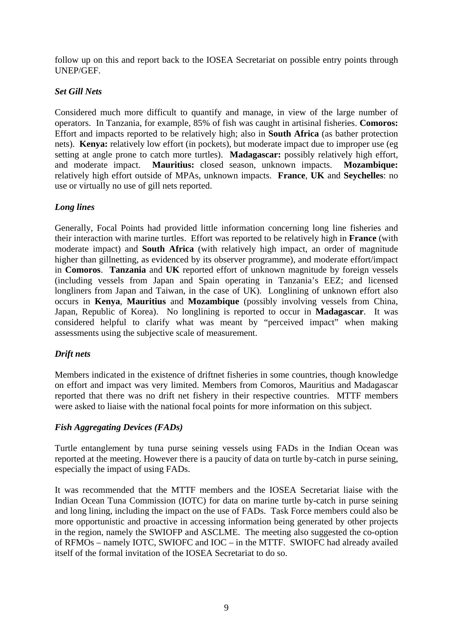follow up on this and report back to the IOSEA Secretariat on possible entry points through UNEP/GEF.

## *Set Gill Nets*

Considered much more difficult to quantify and manage, in view of the large number of operators. In Tanzania, for example, 85% of fish was caught in artisinal fisheries. **Comoros:** Effort and impacts reported to be relatively high; also in **South Africa** (as bather protection nets). **Kenya:** relatively low effort (in pockets), but moderate impact due to improper use (eg setting at angle prone to catch more turtles). **Madagascar:** possibly relatively high effort, and moderate impact. **Mauritius:** closed season, unknown impacts. **Mozambique:** relatively high effort outside of MPAs, unknown impacts. **France**, **UK** and **Seychelles**: no use or virtually no use of gill nets reported.

### *Long lines*

Generally, Focal Points had provided little information concerning long line fisheries and their interaction with marine turtles. Effort was reported to be relatively high in **France** (with moderate impact) and **South Africa** (with relatively high impact, an order of magnitude higher than gillnetting, as evidenced by its observer programme), and moderate effort/impact in **Comoros**. **Tanzania** and **UK** reported effort of unknown magnitude by foreign vessels (including vessels from Japan and Spain operating in Tanzania's EEZ; and licensed longliners from Japan and Taiwan, in the case of UK). Longlining of unknown effort also occurs in **Kenya**, **Mauritius** and **Mozambique** (possibly involving vessels from China, Japan, Republic of Korea). No longlining is reported to occur in **Madagascar**. It was considered helpful to clarify what was meant by "perceived impact" when making assessments using the subjective scale of measurement.

## *Drift nets*

Members indicated in the existence of driftnet fisheries in some countries, though knowledge on effort and impact was very limited. Members from Comoros, Mauritius and Madagascar reported that there was no drift net fishery in their respective countries. MTTF members were asked to liaise with the national focal points for more information on this subject.

## *Fish Aggregating Devices (FADs)*

Turtle entanglement by tuna purse seining vessels using FADs in the Indian Ocean was reported at the meeting. However there is a paucity of data on turtle by-catch in purse seining, especially the impact of using FADs.

It was recommended that the MTTF members and the IOSEA Secretariat liaise with the Indian Ocean Tuna Commission (IOTC) for data on marine turtle by-catch in purse seining and long lining, including the impact on the use of FADs. Task Force members could also be more opportunistic and proactive in accessing information being generated by other projects in the region, namely the SWIOFP and ASCLME. The meeting also suggested the co-option of RFMOs – namely IOTC, SWIOFC and IOC – in the MTTF. SWIOFC had already availed itself of the formal invitation of the IOSEA Secretariat to do so.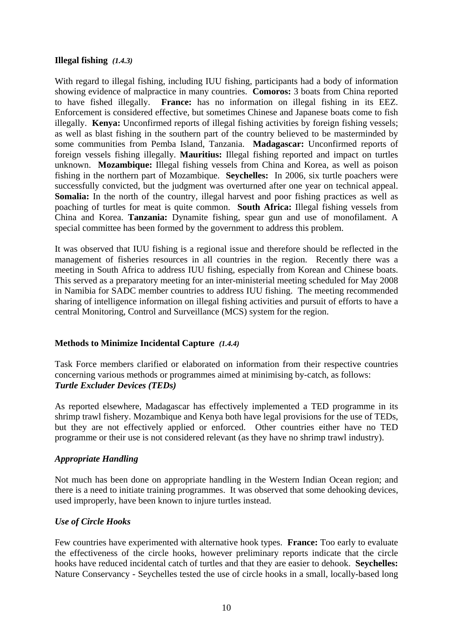### **Illegal fishing** *(1.4.3)*

With regard to illegal fishing, including IUU fishing, participants had a body of information showing evidence of malpractice in many countries. **Comoros:** 3 boats from China reported to have fished illegally. **France:** has no information on illegal fishing in its EEZ. Enforcement is considered effective, but sometimes Chinese and Japanese boats come to fish illegally. **Kenya:** Unconfirmed reports of illegal fishing activities by foreign fishing vessels; as well as blast fishing in the southern part of the country believed to be masterminded by some communities from Pemba Island, Tanzania. **Madagascar:** Unconfirmed reports of foreign vessels fishing illegally. **Mauritius:** Illegal fishing reported and impact on turtles unknown. **Mozambique:** Illegal fishing vessels from China and Korea, as well as poison fishing in the northern part of Mozambique. **Seychelles:** In 2006, six turtle poachers were successfully convicted, but the judgment was overturned after one year on technical appeal. **Somalia:** In the north of the country, illegal harvest and poor fishing practices as well as poaching of turtles for meat is quite common. **South Africa:** Illegal fishing vessels from China and Korea. **Tanzania:** Dynamite fishing, spear gun and use of monofilament. A special committee has been formed by the government to address this problem.

It was observed that IUU fishing is a regional issue and therefore should be reflected in the management of fisheries resources in all countries in the region. Recently there was a meeting in South Africa to address IUU fishing, especially from Korean and Chinese boats. This served as a preparatory meeting for an inter-ministerial meeting scheduled for May 2008 in Namibia for SADC member countries to address IUU fishing. The meeting recommended sharing of intelligence information on illegal fishing activities and pursuit of efforts to have a central Monitoring, Control and Surveillance (MCS) system for the region.

## **Methods to Minimize Incidental Capture** *(1.4.4)*

Task Force members clarified or elaborated on information from their respective countries concerning various methods or programmes aimed at minimising by-catch, as follows: *Turtle Excluder Devices (TEDs)* 

As reported elsewhere, Madagascar has effectively implemented a TED programme in its shrimp trawl fishery. Mozambique and Kenya both have legal provisions for the use of TEDs, but they are not effectively applied or enforced. Other countries either have no TED programme or their use is not considered relevant (as they have no shrimp trawl industry).

## *Appropriate Handling*

Not much has been done on appropriate handling in the Western Indian Ocean region; and there is a need to initiate training programmes. It was observed that some dehooking devices, used improperly, have been known to injure turtles instead.

## *Use of Circle Hooks*

Few countries have experimented with alternative hook types. **France:** Too early to evaluate the effectiveness of the circle hooks, however preliminary reports indicate that the circle hooks have reduced incidental catch of turtles and that they are easier to dehook. **Seychelles:** Nature Conservancy - Seychelles tested the use of circle hooks in a small, locally-based long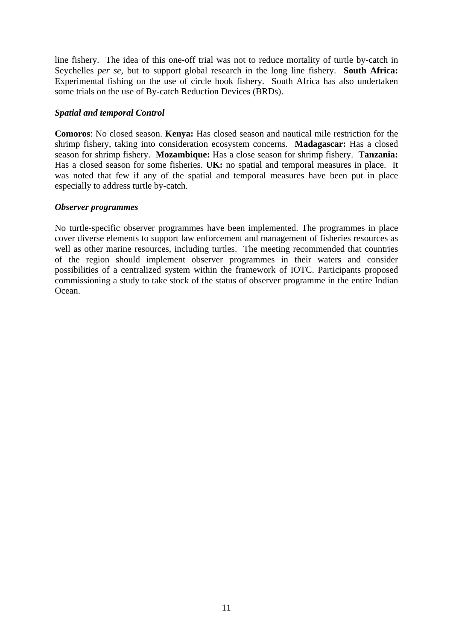line fishery. The idea of this one-off trial was not to reduce mortality of turtle by-catch in Seychelles *per se,* but to support global research in the long line fishery. **South Africa:** Experimental fishing on the use of circle hook fishery. South Africa has also undertaken some trials on the use of By-catch Reduction Devices (BRDs).

### *Spatial and temporal Control*

**Comoros**: No closed season. **Kenya:** Has closed season and nautical mile restriction for the shrimp fishery, taking into consideration ecosystem concerns. **Madagascar:** Has a closed season for shrimp fishery. **Mozambique:** Has a close season for shrimp fishery. **Tanzania:** Has a closed season for some fisheries. **UK:** no spatial and temporal measures in place. It was noted that few if any of the spatial and temporal measures have been put in place especially to address turtle by-catch.

### *Observer programmes*

No turtle-specific observer programmes have been implemented. The programmes in place cover diverse elements to support law enforcement and management of fisheries resources as well as other marine resources, including turtles. The meeting recommended that countries of the region should implement observer programmes in their waters and consider possibilities of a centralized system within the framework of IOTC. Participants proposed commissioning a study to take stock of the status of observer programme in the entire Indian Ocean.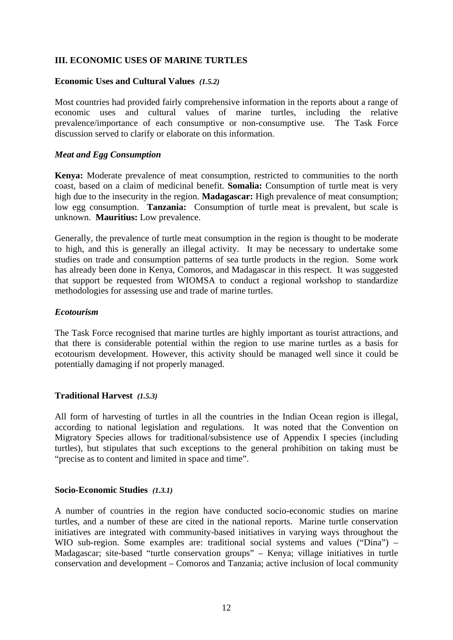## **III. ECONOMIC USES OF MARINE TURTLES**

#### **Economic Uses and Cultural Values** *(1.5.2)*

Most countries had provided fairly comprehensive information in the reports about a range of economic uses and cultural values of marine turtles, including the relative prevalence/importance of each consumptive or non-consumptive use. The Task Force discussion served to clarify or elaborate on this information.

#### *Meat and Egg Consumption*

**Kenya:** Moderate prevalence of meat consumption, restricted to communities to the north coast, based on a claim of medicinal benefit. **Somalia:** Consumption of turtle meat is very high due to the insecurity in the region. **Madagascar:** High prevalence of meat consumption; low egg consumption. **Tanzania:** Consumption of turtle meat is prevalent, but scale is unknown. **Mauritius:** Low prevalence.

Generally, the prevalence of turtle meat consumption in the region is thought to be moderate to high, and this is generally an illegal activity. It may be necessary to undertake some studies on trade and consumption patterns of sea turtle products in the region. Some work has already been done in Kenya, Comoros, and Madagascar in this respect. It was suggested that support be requested from WIOMSA to conduct a regional workshop to standardize methodologies for assessing use and trade of marine turtles.

#### *Ecotourism*

The Task Force recognised that marine turtles are highly important as tourist attractions, and that there is considerable potential within the region to use marine turtles as a basis for ecotourism development. However, this activity should be managed well since it could be potentially damaging if not properly managed.

#### **Traditional Harvest** *(1.5.3)*

All form of harvesting of turtles in all the countries in the Indian Ocean region is illegal, according to national legislation and regulations. It was noted that the Convention on Migratory Species allows for traditional/subsistence use of Appendix I species (including turtles), but stipulates that such exceptions to the general prohibition on taking must be "precise as to content and limited in space and time".

#### **Socio-Economic Studies** *(1.3.1)*

A number of countries in the region have conducted socio-economic studies on marine turtles, and a number of these are cited in the national reports. Marine turtle conservation initiatives are integrated with community-based initiatives in varying ways throughout the WIO sub-region. Some examples are: traditional social systems and values ("Dina") – Madagascar; site-based "turtle conservation groups" – Kenya; village initiatives in turtle conservation and development – Comoros and Tanzania; active inclusion of local community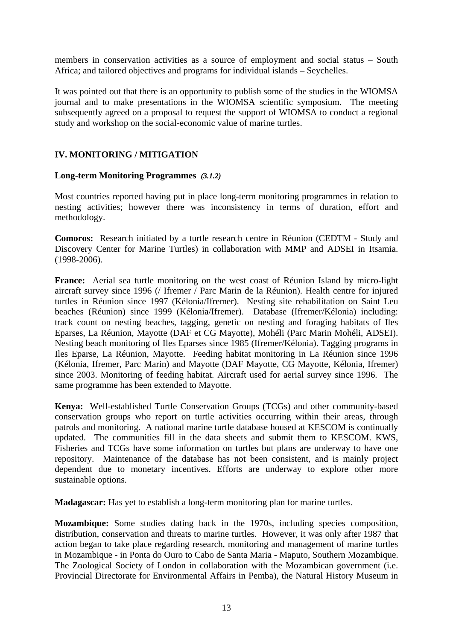members in conservation activities as a source of employment and social status – South Africa; and tailored objectives and programs for individual islands – Seychelles.

It was pointed out that there is an opportunity to publish some of the studies in the WIOMSA journal and to make presentations in the WIOMSA scientific symposium. The meeting subsequently agreed on a proposal to request the support of WIOMSA to conduct a regional study and workshop on the social-economic value of marine turtles.

### **IV. MONITORING / MITIGATION**

#### **Long-term Monitoring Programmes** *(3.1.2)*

Most countries reported having put in place long-term monitoring programmes in relation to nesting activities; however there was inconsistency in terms of duration, effort and methodology.

**Comoros:** Research initiated by a turtle research centre in Réunion (CEDTM - Study and Discovery Center for Marine Turtles) in collaboration with MMP and ADSEI in Itsamia. (1998-2006).

**France:** Aerial sea turtle monitoring on the west coast of Réunion Island by micro-light aircraft survey since 1996 (/ Ifremer / Parc Marin de la Réunion). Health centre for injured turtles in Réunion since 1997 (Kélonia/Ifremer). Nesting site rehabilitation on Saint Leu beaches (Réunion) since 1999 (Kélonia/Ifremer). Database (Ifremer/Kélonia) including: track count on nesting beaches, tagging, genetic on nesting and foraging habitats of Iles Eparses, La Réunion, Mayotte (DAF et CG Mayotte), Mohéli (Parc Marin Mohéli, ADSEI). Nesting beach monitoring of Iles Eparses since 1985 (Ifremer/Kélonia). Tagging programs in Iles Eparse, La Réunion, Mayotte. Feeding habitat monitoring in La Réunion since 1996 (Kélonia, Ifremer, Parc Marin) and Mayotte (DAF Mayotte, CG Mayotte, Kélonia, Ifremer) since 2003. Monitoring of feeding habitat. Aircraft used for aerial survey since 1996. The same programme has been extended to Mayotte.

**Kenya:** Well-established Turtle Conservation Groups (TCGs) and other community-based conservation groups who report on turtle activities occurring within their areas, through patrols and monitoring. A national marine turtle database housed at KESCOM is continually updated. The communities fill in the data sheets and submit them to KESCOM. KWS, Fisheries and TCGs have some information on turtles but plans are underway to have one repository. Maintenance of the database has not been consistent, and is mainly project dependent due to monetary incentives. Efforts are underway to explore other more sustainable options.

**Madagascar:** Has yet to establish a long-term monitoring plan for marine turtles.

**Mozambique:** Some studies dating back in the 1970s, including species composition, distribution, conservation and threats to marine turtles. However, it was only after 1987 that action began to take place regarding research, monitoring and management of marine turtles in Mozambique - in Ponta do Ouro to Cabo de Santa Maria - Maputo, Southern Mozambique. The Zoological Society of London in collaboration with the Mozambican government (i.e. Provincial Directorate for Environmental Affairs in Pemba), the Natural History Museum in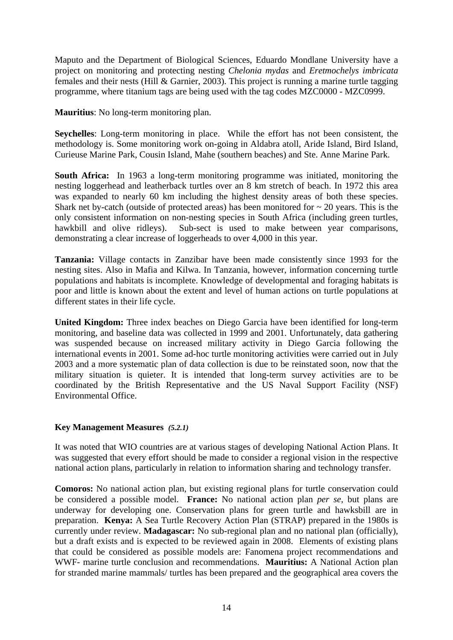Maputo and the Department of Biological Sciences, Eduardo Mondlane University have a project on monitoring and protecting nesting *Chelonia mydas* and *Eretmochelys imbricata* females and their nests (Hill & Garnier, 2003). This project is running a marine turtle tagging programme, where titanium tags are being used with the tag codes MZC0000 - MZC0999.

**Mauritius**: No long-term monitoring plan.

**Seychelles**: Long-term monitoring in place. While the effort has not been consistent, the methodology is. Some monitoring work on-going in Aldabra atoll, Aride Island, Bird Island, Curieuse Marine Park, Cousin Island, Mahe (southern beaches) and Ste. Anne Marine Park.

**South Africa:** In 1963 a long-term monitoring programme was initiated, monitoring the nesting loggerhead and leatherback turtles over an 8 km stretch of beach. In 1972 this area was expanded to nearly 60 km including the highest density areas of both these species. Shark net by-catch (outside of protected areas) has been monitored for  $\sim$  20 years. This is the only consistent information on non-nesting species in South Africa (including green turtles, hawkbill and olive ridleys). Sub-sect is used to make between year comparisons, demonstrating a clear increase of loggerheads to over 4,000 in this year.

**Tanzania:** Village contacts in Zanzibar have been made consistently since 1993 for the nesting sites. Also in Mafia and Kilwa. In Tanzania, however, information concerning turtle populations and habitats is incomplete. Knowledge of developmental and foraging habitats is poor and little is known about the extent and level of human actions on turtle populations at different states in their life cycle.

**United Kingdom:** Three index beaches on Diego Garcia have been identified for long-term monitoring, and baseline data was collected in 1999 and 2001. Unfortunately, data gathering was suspended because on increased military activity in Diego Garcia following the international events in 2001. Some ad-hoc turtle monitoring activities were carried out in July 2003 and a more systematic plan of data collection is due to be reinstated soon, now that the military situation is quieter. It is intended that long-term survey activities are to be coordinated by the British Representative and the US Naval Support Facility (NSF) Environmental Office.

## **Key Management Measures** *(5.2.1)*

It was noted that WIO countries are at various stages of developing National Action Plans. It was suggested that every effort should be made to consider a regional vision in the respective national action plans, particularly in relation to information sharing and technology transfer.

**Comoros:** No national action plan, but existing regional plans for turtle conservation could be considered a possible model. **France:** No national action plan *per se*, but plans are underway for developing one. Conservation plans for green turtle and hawksbill are in preparation. **Kenya:** A Sea Turtle Recovery Action Plan (STRAP) prepared in the 1980s is currently under review. **Madagascar:** No sub-regional plan and no national plan (officially), but a draft exists and is expected to be reviewed again in 2008. Elements of existing plans that could be considered as possible models are: Fanomena project recommendations and WWF- marine turtle conclusion and recommendations. **Mauritius:** A National Action plan for stranded marine mammals/ turtles has been prepared and the geographical area covers the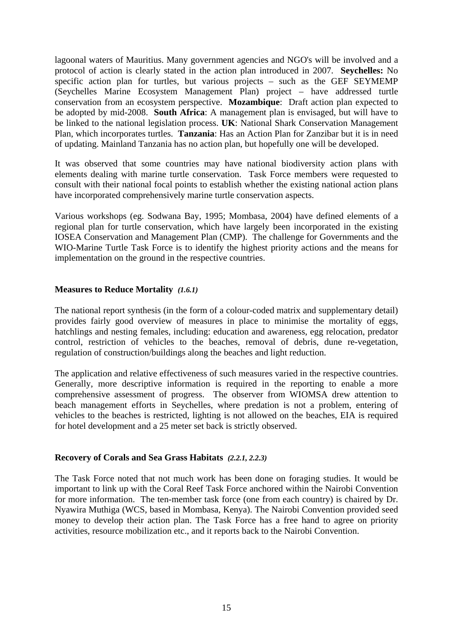lagoonal waters of Mauritius. Many government agencies and NGO's will be involved and a protocol of action is clearly stated in the action plan introduced in 2007. **Seychelles:** No specific action plan for turtles, but various projects – such as the GEF SEYMEMP (Seychelles Marine Ecosystem Management Plan) project – have addressed turtle conservation from an ecosystem perspective. **Mozambique**: Draft action plan expected to be adopted by mid-2008. **South Africa**: A management plan is envisaged, but will have to be linked to the national legislation process. **UK**: National Shark Conservation Management Plan, which incorporates turtles. **Tanzania**: Has an Action Plan for Zanzibar but it is in need of updating. Mainland Tanzania has no action plan, but hopefully one will be developed.

It was observed that some countries may have national biodiversity action plans with elements dealing with marine turtle conservation. Task Force members were requested to consult with their national focal points to establish whether the existing national action plans have incorporated comprehensively marine turtle conservation aspects.

Various workshops (eg. Sodwana Bay, 1995; Mombasa, 2004) have defined elements of a regional plan for turtle conservation, which have largely been incorporated in the existing IOSEA Conservation and Management Plan (CMP). The challenge for Governments and the WIO-Marine Turtle Task Force is to identify the highest priority actions and the means for implementation on the ground in the respective countries.

### **Measures to Reduce Mortality** *(1.6.1)*

The national report synthesis (in the form of a colour-coded matrix and supplementary detail) provides fairly good overview of measures in place to minimise the mortality of eggs, hatchlings and nesting females, including: education and awareness, egg relocation, predator control, restriction of vehicles to the beaches, removal of debris, dune re-vegetation, regulation of construction/buildings along the beaches and light reduction.

The application and relative effectiveness of such measures varied in the respective countries. Generally, more descriptive information is required in the reporting to enable a more comprehensive assessment of progress. The observer from WIOMSA drew attention to beach management efforts in Seychelles, where predation is not a problem, entering of vehicles to the beaches is restricted, lighting is not allowed on the beaches, EIA is required for hotel development and a 25 meter set back is strictly observed.

## **Recovery of Corals and Sea Grass Habitats** *(2.2.1, 2.2.3)*

The Task Force noted that not much work has been done on foraging studies. It would be important to link up with the Coral Reef Task Force anchored within the Nairobi Convention for more information. The ten-member task force (one from each country) is chaired by Dr. Nyawira Muthiga (WCS, based in Mombasa, Kenya). The Nairobi Convention provided seed money to develop their action plan. The Task Force has a free hand to agree on priority activities, resource mobilization etc., and it reports back to the Nairobi Convention.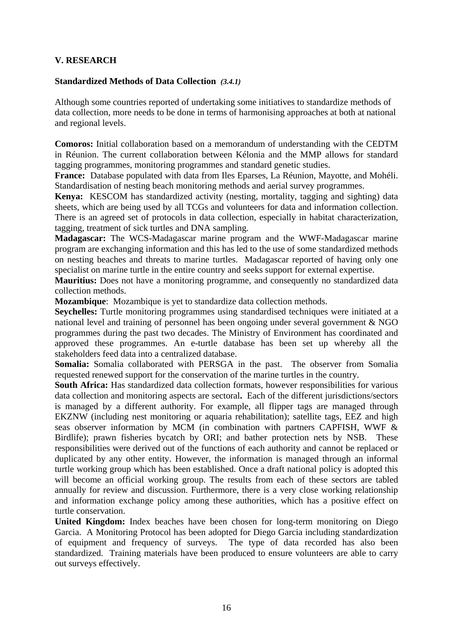## **V. RESEARCH**

#### **Standardized Methods of Data Collection** *(3.4.1)*

Although some countries reported of undertaking some initiatives to standardize methods of data collection, more needs to be done in terms of harmonising approaches at both at national and regional levels.

**Comoros:** Initial collaboration based on a memorandum of understanding with the CEDTM in Réunion. The current collaboration between Kélonia and the MMP allows for standard tagging programmes, monitoring programmes and standard genetic studies.

**France:** Database populated with data from Iles Eparses, La Réunion, Mayotte, and Mohéli. Standardisation of nesting beach monitoring methods and aerial survey programmes.

**Kenya:** KESCOM has standardized activity (nesting, mortality, tagging and sighting) data sheets, which are being used by all TCGs and volunteers for data and information collection. There is an agreed set of protocols in data collection, especially in habitat characterization, tagging, treatment of sick turtles and DNA sampling.

**Madagascar:** The WCS-Madagascar marine program and the WWF-Madagascar marine program are exchanging information and this has led to the use of some standardized methods on nesting beaches and threats to marine turtles. Madagascar reported of having only one specialist on marine turtle in the entire country and seeks support for external expertise.

**Mauritius:** Does not have a monitoring programme, and consequently no standardized data collection methods.

**Mozambique**: Mozambique is yet to standardize data collection methods.

**Seychelles:** Turtle monitoring programmes using standardised techniques were initiated at a national level and training of personnel has been ongoing under several government & NGO programmes during the past two decades. The Ministry of Environment has coordinated and approved these programmes. An e-turtle database has been set up whereby all the stakeholders feed data into a centralized database.

**Somalia:** Somalia collaborated with PERSGA in the past. The observer from Somalia requested renewed support for the conservation of the marine turtles in the country.

**South Africa:** Has standardized data collection formats, however responsibilities for various data collection and monitoring aspects are sectoral**.** Each of the different jurisdictions/sectors is managed by a different authority. For example, all flipper tags are managed through EKZNW (including nest monitoring or aquaria rehabilitation); satellite tags, EEZ and high seas observer information by MCM (in combination with partners CAPFISH, WWF & Birdlife); prawn fisheries bycatch by ORI; and bather protection nets by NSB. These responsibilities were derived out of the functions of each authority and cannot be replaced or duplicated by any other entity. However, the information is managed through an informal turtle working group which has been established. Once a draft national policy is adopted this will become an official working group. The results from each of these sectors are tabled annually for review and discussion. Furthermore, there is a very close working relationship and information exchange policy among these authorities, which has a positive effect on turtle conservation.

**United Kingdom:** Index beaches have been chosen for long-term monitoring on Diego Garcia. A Monitoring Protocol has been adopted for Diego Garcia including standardization of equipment and frequency of surveys. The type of data recorded has also been standardized. Training materials have been produced to ensure volunteers are able to carry out surveys effectively.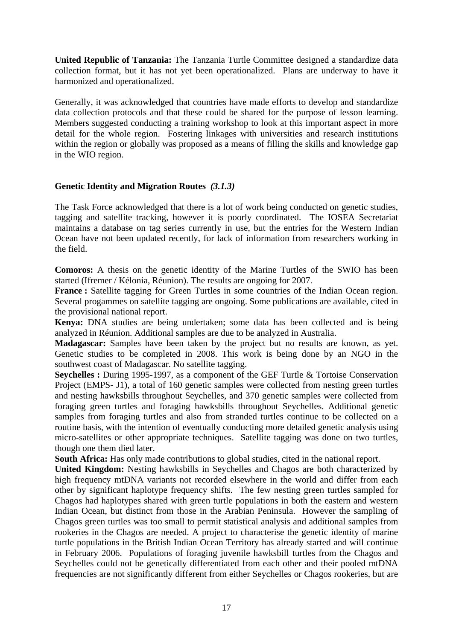**United Republic of Tanzania:** The Tanzania Turtle Committee designed a standardize data collection format, but it has not yet been operationalized. Plans are underway to have it harmonized and operationalized.

Generally, it was acknowledged that countries have made efforts to develop and standardize data collection protocols and that these could be shared for the purpose of lesson learning. Members suggested conducting a training workshop to look at this important aspect in more detail for the whole region. Fostering linkages with universities and research institutions within the region or globally was proposed as a means of filling the skills and knowledge gap in the WIO region.

## **Genetic Identity and Migration Routes** *(3.1.3)*

The Task Force acknowledged that there is a lot of work being conducted on genetic studies, tagging and satellite tracking, however it is poorly coordinated. The IOSEA Secretariat maintains a database on tag series currently in use, but the entries for the Western Indian Ocean have not been updated recently, for lack of information from researchers working in the field.

**Comoros:** A thesis on the genetic identity of the Marine Turtles of the SWIO has been started (Ifremer / Kélonia, Réunion). The results are ongoing for 2007.

**France :** Satellite tagging for Green Turtles in some countries of the Indian Ocean region. Several progammes on satellite tagging are ongoing. Some publications are available, cited in the provisional national report.

**Kenya:** DNA studies are being undertaken; some data has been collected and is being analyzed in Réunion. Additional samples are due to be analyzed in Australia.

**Madagascar:** Samples have been taken by the project but no results are known, as yet. Genetic studies to be completed in 2008. This work is being done by an NGO in the southwest coast of Madagascar. No satellite tagging.

**Seychelles :** During 1995-1997, as a component of the GEF Turtle & Tortoise Conservation Project (EMPS- J1), a total of 160 genetic samples were collected from nesting green turtles and nesting hawksbills throughout Seychelles, and 370 genetic samples were collected from foraging green turtles and foraging hawksbills throughout Seychelles. Additional genetic samples from foraging turtles and also from stranded turtles continue to be collected on a routine basis, with the intention of eventually conducting more detailed genetic analysis using micro-satellites or other appropriate techniques. Satellite tagging was done on two turtles, though one them died later.

**South Africa:** Has only made contributions to global studies, cited in the national report.

**United Kingdom:** Nesting hawksbills in Seychelles and Chagos are both characterized by high frequency mtDNA variants not recorded elsewhere in the world and differ from each other by significant haplotype frequency shifts. The few nesting green turtles sampled for Chagos had haplotypes shared with green turtle populations in both the eastern and western Indian Ocean, but distinct from those in the Arabian Peninsula. However the sampling of Chagos green turtles was too small to permit statistical analysis and additional samples from rookeries in the Chagos are needed. A project to characterise the genetic identity of marine turtle populations in the British Indian Ocean Territory has already started and will continue in February 2006. Populations of foraging juvenile hawksbill turtles from the Chagos and Seychelles could not be genetically differentiated from each other and their pooled mtDNA frequencies are not significantly different from either Seychelles or Chagos rookeries, but are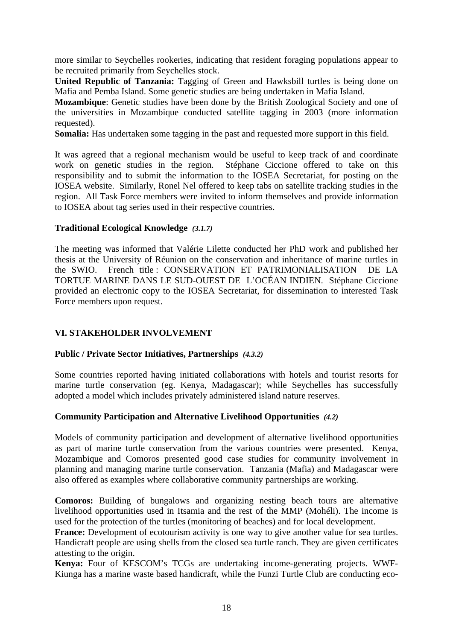more similar to Seychelles rookeries, indicating that resident foraging populations appear to be recruited primarily from Seychelles stock.

**United Republic of Tanzania:** Tagging of Green and Hawksbill turtles is being done on Mafia and Pemba Island. Some genetic studies are being undertaken in Mafia Island.

**Mozambique**: Genetic studies have been done by the British Zoological Society and one of the universities in Mozambique conducted satellite tagging in 2003 (more information requested).

**Somalia:** Has undertaken some tagging in the past and requested more support in this field.

It was agreed that a regional mechanism would be useful to keep track of and coordinate work on genetic studies in the region. Stéphane Ciccione offered to take on this responsibility and to submit the information to the IOSEA Secretariat, for posting on the IOSEA website. Similarly, Ronel Nel offered to keep tabs on satellite tracking studies in the region. All Task Force members were invited to inform themselves and provide information to IOSEA about tag series used in their respective countries.

### **Traditional Ecological Knowledge** *(3.1.7)*

The meeting was informed that Valérie Lilette conducted her PhD work and published her thesis at the University of Réunion on the conservation and inheritance of marine turtles in the SWIO. French title : CONSERVATION ET PATRIMONIALISATION DE LA TORTUE MARINE DANS LE SUD-OUEST DE L'OCÉAN INDIEN. Stéphane Ciccione provided an electronic copy to the IOSEA Secretariat, for dissemination to interested Task Force members upon request.

## **VI. STAKEHOLDER INVOLVEMENT**

## **Public / Private Sector Initiatives, Partnerships** *(4.3.2)*

Some countries reported having initiated collaborations with hotels and tourist resorts for marine turtle conservation (eg. Kenya, Madagascar); while Seychelles has successfully adopted a model which includes privately administered island nature reserves.

## **Community Participation and Alternative Livelihood Opportunities** *(4.2)*

Models of community participation and development of alternative livelihood opportunities as part of marine turtle conservation from the various countries were presented. Kenya, Mozambique and Comoros presented good case studies for community involvement in planning and managing marine turtle conservation. Tanzania (Mafia) and Madagascar were also offered as examples where collaborative community partnerships are working.

**Comoros:** Building of bungalows and organizing nesting beach tours are alternative livelihood opportunities used in Itsamia and the rest of the MMP (Mohéli). The income is used for the protection of the turtles (monitoring of beaches) and for local development.

France: Development of ecotourism activity is one way to give another value for sea turtles. Handicraft people are using shells from the closed sea turtle ranch. They are given certificates attesting to the origin.

**Kenya:** Four of KESCOM's TCGs are undertaking income-generating projects. WWF-Kiunga has a marine waste based handicraft, while the Funzi Turtle Club are conducting eco-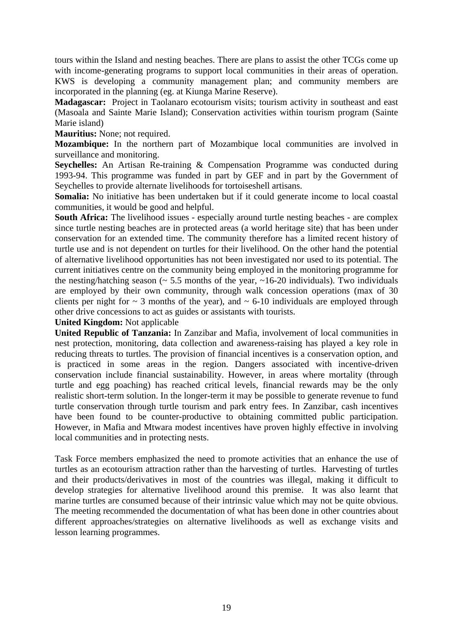tours within the Island and nesting beaches. There are plans to assist the other TCGs come up with income-generating programs to support local communities in their areas of operation. KWS is developing a community management plan; and community members are incorporated in the planning (eg. at Kiunga Marine Reserve).

**Madagascar:** Project in Taolanaro ecotourism visits; tourism activity in southeast and east (Masoala and Sainte Marie Island); Conservation activities within tourism program (Sainte Marie island)

**Mauritius:** None; not required.

**Mozambique:** In the northern part of Mozambique local communities are involved in surveillance and monitoring.

**Seychelles:** An Artisan Re-training & Compensation Programme was conducted during 1993-94. This programme was funded in part by GEF and in part by the Government of Seychelles to provide alternate livelihoods for tortoiseshell artisans.

**Somalia:** No initiative has been undertaken but if it could generate income to local coastal communities, it would be good and helpful.

**South Africa:** The livelihood issues - especially around turtle nesting beaches - are complex since turtle nesting beaches are in protected areas (a world heritage site) that has been under conservation for an extended time. The community therefore has a limited recent history of turtle use and is not dependent on turtles for their livelihood. On the other hand the potential of alternative livelihood opportunities has not been investigated nor used to its potential. The current initiatives centre on the community being employed in the monitoring programme for the nesting/hatching season ( $\sim$  5.5 months of the year,  $\sim$ 16-20 individuals). Two individuals are employed by their own community, through walk concession operations (max of 30 clients per night for  $\sim$  3 months of the year), and  $\sim$  6-10 individuals are employed through other drive concessions to act as guides or assistants with tourists.

**United Kingdom:** Not applicable

**United Republic of Tanzania:** In Zanzibar and Mafia, involvement of local communities in nest protection, monitoring, data collection and awareness-raising has played a key role in reducing threats to turtles. The provision of financial incentives is a conservation option, and is practiced in some areas in the region. Dangers associated with incentive-driven conservation include financial sustainability. However, in areas where mortality (through turtle and egg poaching) has reached critical levels, financial rewards may be the only realistic short-term solution. In the longer-term it may be possible to generate revenue to fund turtle conservation through turtle tourism and park entry fees. In Zanzibar, cash incentives have been found to be counter-productive to obtaining committed public participation. However, in Mafia and Mtwara modest incentives have proven highly effective in involving local communities and in protecting nests.

Task Force members emphasized the need to promote activities that an enhance the use of turtles as an ecotourism attraction rather than the harvesting of turtles. Harvesting of turtles and their products/derivatives in most of the countries was illegal, making it difficult to develop strategies for alternative livelihood around this premise. It was also learnt that marine turtles are consumed because of their intrinsic value which may not be quite obvious. The meeting recommended the documentation of what has been done in other countries about different approaches/strategies on alternative livelihoods as well as exchange visits and lesson learning programmes.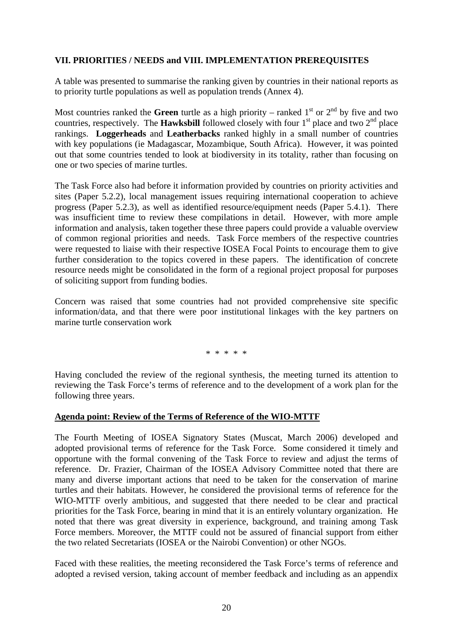### **VII. PRIORITIES / NEEDS and VIII. IMPLEMENTATION PREREQUISITES**

A table was presented to summarise the ranking given by countries in their national reports as to priority turtle populations as well as population trends (Annex 4).

Most countries ranked the **Green** turtle as a high priority – ranked  $1<sup>st</sup>$  or  $2<sup>nd</sup>$  by five and two countries, respectively. The **Hawksbill** followed closely with four  $1<sup>st</sup>$  place and two  $2<sup>nd</sup>$  place rankings. **Loggerheads** and **Leatherbacks** ranked highly in a small number of countries with key populations (ie Madagascar, Mozambique, South Africa). However, it was pointed out that some countries tended to look at biodiversity in its totality, rather than focusing on one or two species of marine turtles.

The Task Force also had before it information provided by countries on priority activities and sites (Paper 5.2.2), local management issues requiring international cooperation to achieve progress (Paper 5.2.3), as well as identified resource/equipment needs (Paper 5.4.1). There was insufficient time to review these compilations in detail. However, with more ample information and analysis, taken together these three papers could provide a valuable overview of common regional priorities and needs. Task Force members of the respective countries were requested to liaise with their respective IOSEA Focal Points to encourage them to give further consideration to the topics covered in these papers. The identification of concrete resource needs might be consolidated in the form of a regional project proposal for purposes of soliciting support from funding bodies.

Concern was raised that some countries had not provided comprehensive site specific information/data, and that there were poor institutional linkages with the key partners on marine turtle conservation work

\* \* \* \* \*

Having concluded the review of the regional synthesis, the meeting turned its attention to reviewing the Task Force's terms of reference and to the development of a work plan for the following three years.

#### **Agenda point: Review of the Terms of Reference of the WIO-MTTF**

The Fourth Meeting of IOSEA Signatory States (Muscat, March 2006) developed and adopted provisional terms of reference for the Task Force. Some considered it timely and opportune with the formal convening of the Task Force to review and adjust the terms of reference. Dr. Frazier, Chairman of the IOSEA Advisory Committee noted that there are many and diverse important actions that need to be taken for the conservation of marine turtles and their habitats. However, he considered the provisional terms of reference for the WIO-MTTF overly ambitious, and suggested that there needed to be clear and practical priorities for the Task Force, bearing in mind that it is an entirely voluntary organization. He noted that there was great diversity in experience, background, and training among Task Force members. Moreover, the MTTF could not be assured of financial support from either the two related Secretariats (IOSEA or the Nairobi Convention) or other NGOs.

Faced with these realities, the meeting reconsidered the Task Force's terms of reference and adopted a revised version, taking account of member feedback and including as an appendix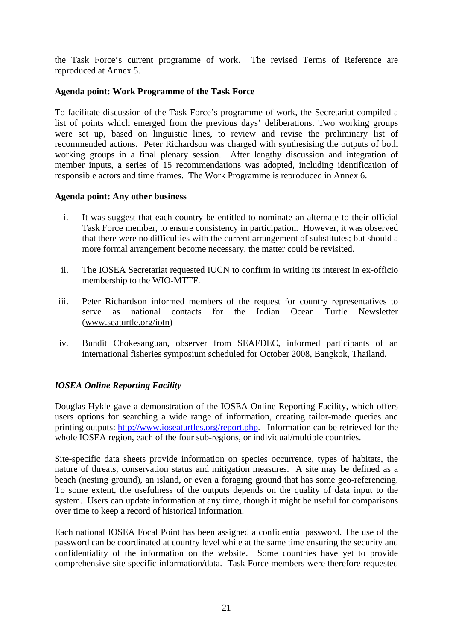the Task Force's current programme of work. The revised Terms of Reference are reproduced at Annex 5.

### **Agenda point: Work Programme of the Task Force**

To facilitate discussion of the Task Force's programme of work, the Secretariat compiled a list of points which emerged from the previous days' deliberations. Two working groups were set up, based on linguistic lines, to review and revise the preliminary list of recommended actions. Peter Richardson was charged with synthesising the outputs of both working groups in a final plenary session. After lengthy discussion and integration of member inputs, a series of 15 recommendations was adopted, including identification of responsible actors and time frames. The Work Programme is reproduced in Annex 6.

#### **Agenda point: Any other business**

- i. It was suggest that each country be entitled to nominate an alternate to their official Task Force member, to ensure consistency in participation. However, it was observed that there were no difficulties with the current arrangement of substitutes; but should a more formal arrangement become necessary, the matter could be revisited.
- ii. The IOSEA Secretariat requested IUCN to confirm in writing its interest in ex-officio membership to the WIO-MTTF.
- iii. Peter Richardson informed members of the request for country representatives to serve as national contacts for the Indian Ocean Turtle Newsletter (www.seaturtle.org/iotn)
- iv. Bundit Chokesanguan, observer from SEAFDEC, informed participants of an international fisheries symposium scheduled for October 2008, Bangkok, Thailand.

## *IOSEA Online Reporting Facility*

Douglas Hykle gave a demonstration of the IOSEA Online Reporting Facility, which offers users options for searching a wide range of information, creating tailor-made queries and printing outputs: http://www.ioseaturtles.org/report.php. Information can be retrieved for the whole IOSEA region, each of the four sub-regions, or individual/multiple countries.

Site-specific data sheets provide information on species occurrence, types of habitats, the nature of threats, conservation status and mitigation measures. A site may be defined as a beach (nesting ground), an island, or even a foraging ground that has some geo-referencing. To some extent, the usefulness of the outputs depends on the quality of data input to the system. Users can update information at any time, though it might be useful for comparisons over time to keep a record of historical information.

Each national IOSEA Focal Point has been assigned a confidential password. The use of the password can be coordinated at country level while at the same time ensuring the security and confidentiality of the information on the website. Some countries have yet to provide comprehensive site specific information/data. Task Force members were therefore requested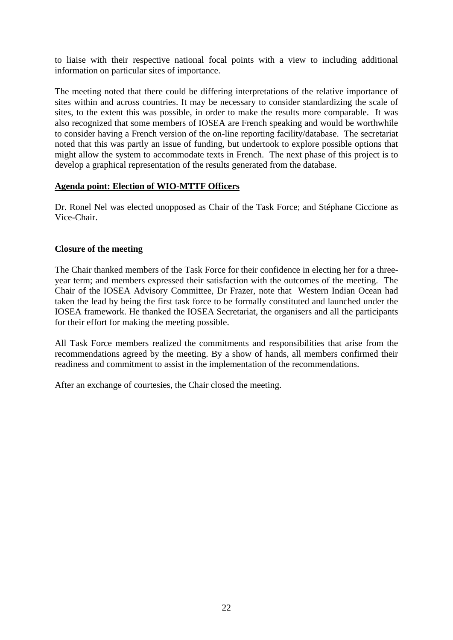to liaise with their respective national focal points with a view to including additional information on particular sites of importance.

The meeting noted that there could be differing interpretations of the relative importance of sites within and across countries. It may be necessary to consider standardizing the scale of sites, to the extent this was possible, in order to make the results more comparable. It was also recognized that some members of IOSEA are French speaking and would be worthwhile to consider having a French version of the on-line reporting facility/database. The secretariat noted that this was partly an issue of funding, but undertook to explore possible options that might allow the system to accommodate texts in French. The next phase of this project is to develop a graphical representation of the results generated from the database.

### **Agenda point: Election of WIO-MTTF Officers**

Dr. Ronel Nel was elected unopposed as Chair of the Task Force; and Stéphane Ciccione as Vice-Chair.

### **Closure of the meeting**

The Chair thanked members of the Task Force for their confidence in electing her for a threeyear term; and members expressed their satisfaction with the outcomes of the meeting. The Chair of the IOSEA Advisory Committee, Dr Frazer, note that Western Indian Ocean had taken the lead by being the first task force to be formally constituted and launched under the IOSEA framework. He thanked the IOSEA Secretariat, the organisers and all the participants for their effort for making the meeting possible.

All Task Force members realized the commitments and responsibilities that arise from the recommendations agreed by the meeting. By a show of hands, all members confirmed their readiness and commitment to assist in the implementation of the recommendations.

After an exchange of courtesies, the Chair closed the meeting.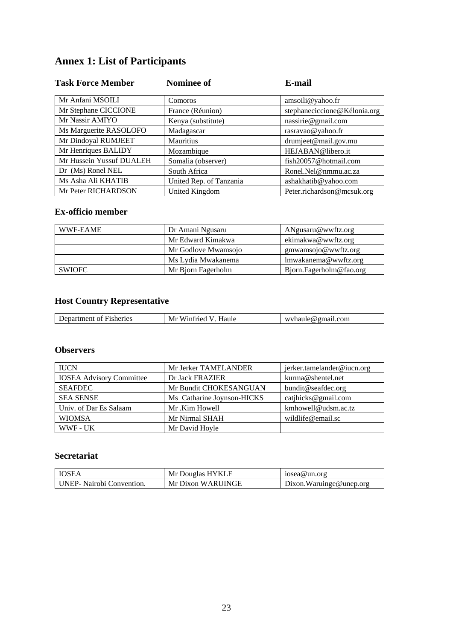# **Annex 1: List of Participants**

| <b>Task Force Member</b> | <b>Nominee of</b>       | E-mail                       |
|--------------------------|-------------------------|------------------------------|
| Mr Anfani MSOILI         | Comoros                 | amsoili@yahoo.fr             |
| Mr Stephane CICCIONE     | France (Réunion)        | stephaneciccione@Kélonia.org |
| Mr Nassir AMIYO          | Kenya (substitute)      | nassirie@gmail.com           |
| Ms Marguerite RASOLOFO   | Madagascar              | rasravao@yahoo.fr            |
| Mr Dindoyal RUMJEET      | Mauritius               | drumjeet@mail.gov.mu         |
| Mr Henriques BALIDY      | Mozambique              | HEJABAN@libero.it            |
| Mr Hussein Yussuf DUALEH | Somalia (observer)      | fish20057@hotmail.com        |
| Dr (Ms) Ronel NEL        | South Africa            | Ronel.Nel@nmmu.ac.za         |
| Ms Asha Ali KHATIB       | United Rep. of Tanzania | ashakhatib@yahoo.com         |
| Mr Peter RICHARDSON      | United Kingdom          | Peter.richardson@mcsuk.org   |

## **Ex-officio member**

| WWF-EAME | Dr Amani Ngusaru<br>ANgusaru@wwftz.org |                         |
|----------|----------------------------------------|-------------------------|
|          | Mr Edward Kimakwa                      | ekimakwa@wwftz.org      |
|          | Mr Godlove Mwamsojo                    | gmwamsojo@wwftz.org     |
|          | Ms Lydia Mwakanema                     | lmwakanema@wwftz.org    |
| SWIOFC   | Mr Bjorn Fagerholm                     | Bjorn.Fagerholm@fao.org |

# **Host Country Representative**

| <b>Fisheries</b><br>tment<br>∩t<br>∙م(<br>. та - | Mı<br>⊣aule<br>/1ntriec<br>W | <u>wyhaule</u><br>.com<br>TIP W<br>отпян |
|--------------------------------------------------|------------------------------|------------------------------------------|
|                                                  |                              |                                          |

## **Observers**

| <b>IUCN</b>                     | Mr Jerker TAMELANDER       | jerker.tamelander@iucn.org |
|---------------------------------|----------------------------|----------------------------|
| <b>IOSEA Advisory Committee</b> | Dr Jack FRAZIER            | kurma@shentel.net          |
| <b>SEAFDEC</b>                  | Mr Bundit CHOKESANGUAN     | bundit@seafdec.org         |
| <b>SEA SENSE</b>                | Ms Catharine Joynson-HICKS | catjhicks@gmail.com        |
| Univ. of Dar Es Salaam          | Mr.Kim Howell              | kmhowell@udsm.ac.tz        |
| <b>WIOMSA</b>                   | Mr Nirmal SHAH             | wildlife@email.sc          |
| WWF - UK                        | Mr David Hoyle             |                            |

# **Secretariat**

| <b>IOSEA</b>                     | Mr Douglas HYKLE  | iosea@un.org            |
|----------------------------------|-------------------|-------------------------|
| <b>UNEP-</b> Nairobi Convention. | Mr Dixon WARUINGE | Dixon.Waruinge@unep.org |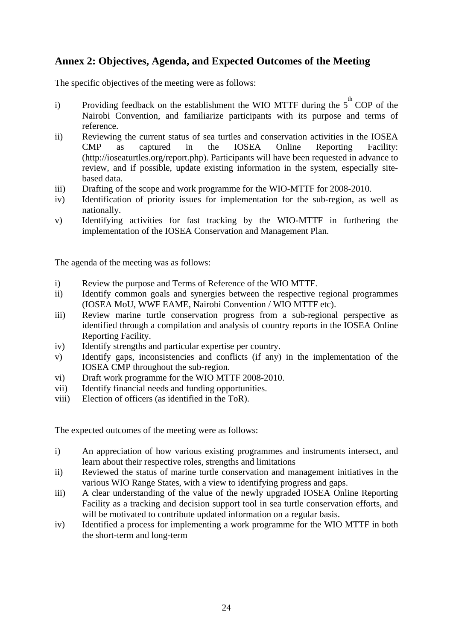# **Annex 2: Objectives, Agenda, and Expected Outcomes of the Meeting**

The specific objectives of the meeting were as follows:

- i) Providing feedback on the establishment the WIO MTTF during the  $5<sup>th</sup>$  COP of the Nairobi Convention, and familiarize participants with its purpose and terms of reference.
- ii) Reviewing the current status of sea turtles and conservation activities in the IOSEA CMP as captured in the IOSEA Online Reporting Facility: (http://ioseaturtles.org/report.php). Participants will have been requested in advance to review, and if possible, update existing information in the system, especially sitebased data.
- iii) Drafting of the scope and work programme for the WIO-MTTF for 2008-2010.
- iv) Identification of priority issues for implementation for the sub-region, as well as nationally.
- v) Identifying activities for fast tracking by the WIO-MTTF in furthering the implementation of the IOSEA Conservation and Management Plan.

The agenda of the meeting was as follows:

- i) Review the purpose and Terms of Reference of the WIO MTTF.
- ii) Identify common goals and synergies between the respective regional programmes (IOSEA MoU, WWF EAME, Nairobi Convention / WIO MTTF etc).
- iii) Review marine turtle conservation progress from a sub-regional perspective as identified through a compilation and analysis of country reports in the IOSEA Online Reporting Facility.
- iv) Identify strengths and particular expertise per country.
- v) Identify gaps, inconsistencies and conflicts (if any) in the implementation of the IOSEA CMP throughout the sub-region.
- vi) Draft work programme for the WIO MTTF 2008-2010.
- vii) Identify financial needs and funding opportunities.
- viii) Election of officers (as identified in the ToR).

The expected outcomes of the meeting were as follows:

- i) An appreciation of how various existing programmes and instruments intersect, and learn about their respective roles, strengths and limitations
- ii) Reviewed the status of marine turtle conservation and management initiatives in the various WIO Range States, with a view to identifying progress and gaps.
- iii) A clear understanding of the value of the newly upgraded IOSEA Online Reporting Facility as a tracking and decision support tool in sea turtle conservation efforts, and will be motivated to contribute updated information on a regular basis.
- iv) Identified a process for implementing a work programme for the WIO MTTF in both the short-term and long-term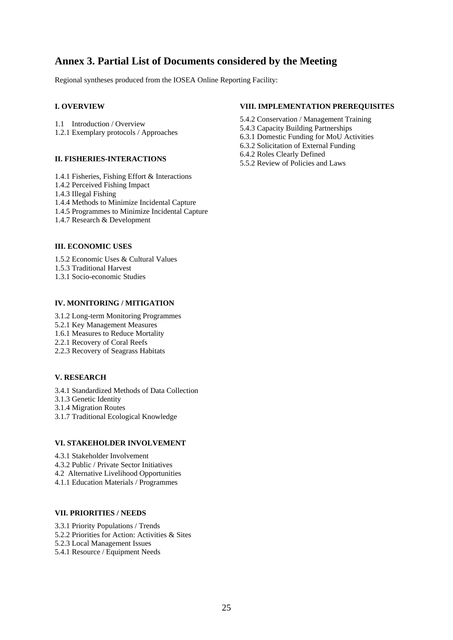# **Annex 3. Partial List of Documents considered by the Meeting**

Regional syntheses produced from the IOSEA Online Reporting Facility:

#### **I. OVERVIEW**

- 1.1 Introduction / Overview
- 1.2.1 Exemplary protocols / Approaches

#### **II. FISHERIES-INTERACTIONS**

- 1.4.1 Fisheries, Fishing Effort & Interactions
- 1.4.2 Perceived Fishing Impact
- 1.4.3 Illegal Fishing
- 1.4.4 Methods to Minimize Incidental Capture
- 1.4.5 Programmes to Minimize Incidental Capture
- 1.4.7 Research & Development

#### **III. ECONOMIC USES**

- 1.5.2 Economic Uses & Cultural Values
- 1.5.3 Traditional Harvest
- 1.3.1 Socio-economic Studies

#### **IV. MONITORING / MITIGATION**

- 3.1.2 Long-term Monitoring Programmes
- 5.2.1 Key Management Measures
- 1.6.1 Measures to Reduce Mortality
- 2.2.1 Recovery of Coral Reefs
- 2.2.3 Recovery of Seagrass Habitats

#### **V. RESEARCH**

- 3.4.1 Standardized Methods of Data Collection
- 3.1.3 Genetic Identity
- 3.1.4 Migration Routes
- 3.1.7 Traditional Ecological Knowledge

#### **VI. STAKEHOLDER INVOLVEMENT**

- 4.3.1 Stakeholder Involvement
- 4.3.2 Public / Private Sector Initiatives
- 4.2 Alternative Livelihood Opportunities
- 4.1.1 Education Materials / Programmes

#### **VII. PRIORITIES / NEEDS**

- 3.3.1 Priority Populations / Trends
- 5.2.2 Priorities for Action: Activities & Sites
- 5.2.3 Local Management Issues
- 5.4.1 Resource / Equipment Needs

#### **VIII. IMPLEMENTATION PREREQUISITES**

- 5.4.2 Conservation / Management Training
- 5.4.3 Capacity Building Partnerships
- 6.3.1 Domestic Funding for MoU Activities
- 6.3.2 Solicitation of External Funding
- 6.4.2 Roles Clearly Defined
- 5.5.2 Review of Policies and Laws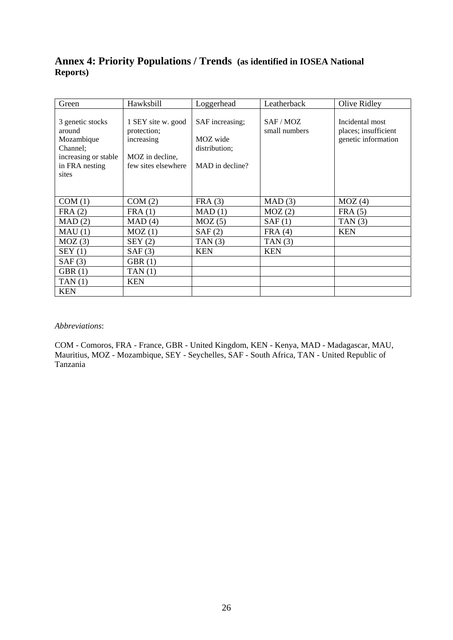## **Annex 4: Priority Populations / Trends (as identified in IOSEA National Reports)**

| Green                                                                                                   | Hawksbill                                                                                 | Loggerhead                                                      | Leatherback              | Olive Ridley                                                   |
|---------------------------------------------------------------------------------------------------------|-------------------------------------------------------------------------------------------|-----------------------------------------------------------------|--------------------------|----------------------------------------------------------------|
| 3 genetic stocks<br>around<br>Mozambique<br>Channel;<br>increasing or stable<br>in FRA nesting<br>sites | 1 SEY site w. good<br>protection;<br>increasing<br>MOZ in decline,<br>few sites elsewhere | SAF increasing;<br>MOZ wide<br>distribution;<br>MAD in decline? | SAF/MOZ<br>small numbers | Incidental most<br>places; insufficient<br>genetic information |
| COM(1)                                                                                                  | COM(2)                                                                                    | FRA(3)                                                          | MAD(3)                   | MOZ(4)                                                         |
| FRA(2)                                                                                                  | FRA(1)                                                                                    | MAD(1)                                                          | MOZ(2)                   | FRA(5)                                                         |
| MAD(2)                                                                                                  | MAD(4)                                                                                    | MOZ(5)                                                          | SAF(1)                   | TAN $(3)$                                                      |
| MAU(1)                                                                                                  | MOZ(1)                                                                                    | SAF(2)                                                          | FRA(4)                   | <b>KEN</b>                                                     |
| MOZ(3)                                                                                                  | SEY(2)                                                                                    | TAN(3)                                                          | TAN(3)                   |                                                                |
| SEY(1)                                                                                                  | SAF(3)                                                                                    | <b>KEN</b>                                                      | <b>KEN</b>               |                                                                |
| SAF(3)                                                                                                  | GBR(1)                                                                                    |                                                                 |                          |                                                                |
| GBR(1)                                                                                                  | TAN(1)                                                                                    |                                                                 |                          |                                                                |
| TAN(1)                                                                                                  | <b>KEN</b>                                                                                |                                                                 |                          |                                                                |
| <b>KEN</b>                                                                                              |                                                                                           |                                                                 |                          |                                                                |

#### *Abbreviations*:

COM - Comoros, FRA - France, GBR - United Kingdom, KEN - Kenya, MAD - Madagascar, MAU, Mauritius, MOZ - Mozambique, SEY - Seychelles, SAF - South Africa, TAN - United Republic of Tanzania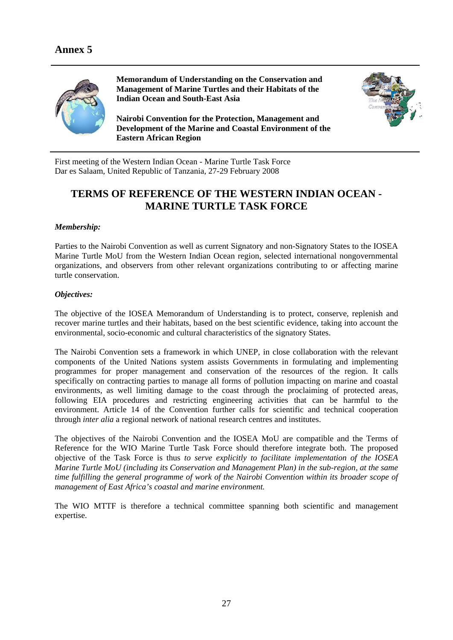

**Memorandum of Understanding on the Conservation and Management of Marine Turtles and their Habitats of the Indian Ocean and South-East Asia** 

**Nairobi Convention for the Protection, Management and Development of the Marine and Coastal Environment of the Eastern African Region** 



First meeting of the Western Indian Ocean - Marine Turtle Task Force Dar es Salaam, United Republic of Tanzania, 27-29 February 2008

# **TERMS OF REFERENCE OF THE WESTERN INDIAN OCEAN - MARINE TURTLE TASK FORCE**

#### *Membership:*

Parties to the Nairobi Convention as well as current Signatory and non-Signatory States to the IOSEA Marine Turtle MoU from the Western Indian Ocean region, selected international nongovernmental organizations, and observers from other relevant organizations contributing to or affecting marine turtle conservation.

#### *Objectives:*

The objective of the IOSEA Memorandum of Understanding is to protect, conserve, replenish and recover marine turtles and their habitats, based on the best scientific evidence, taking into account the environmental, socio-economic and cultural characteristics of the signatory States.

The Nairobi Convention sets a framework in which UNEP, in close collaboration with the relevant components of the United Nations system assists Governments in formulating and implementing programmes for proper management and conservation of the resources of the region. It calls specifically on contracting parties to manage all forms of pollution impacting on marine and coastal environments, as well limiting damage to the coast through the proclaiming of protected areas, following EIA procedures and restricting engineering activities that can be harmful to the environment. Article 14 of the Convention further calls for scientific and technical cooperation through *inter alia* a regional network of national research centres and institutes.

The objectives of the Nairobi Convention and the IOSEA MoU are compatible and the Terms of Reference for the WIO Marine Turtle Task Force should therefore integrate both. The proposed objective of the Task Force is thus *to serve explicitly to facilitate implementation of the IOSEA Marine Turtle MoU (including its Conservation and Management Plan) in the sub-region, at the same time fulfilling the general programme of work of the Nairobi Convention within its broader scope of management of East Africa's coastal and marine environment.* 

The WIO MTTF is therefore a technical committee spanning both scientific and management expertise.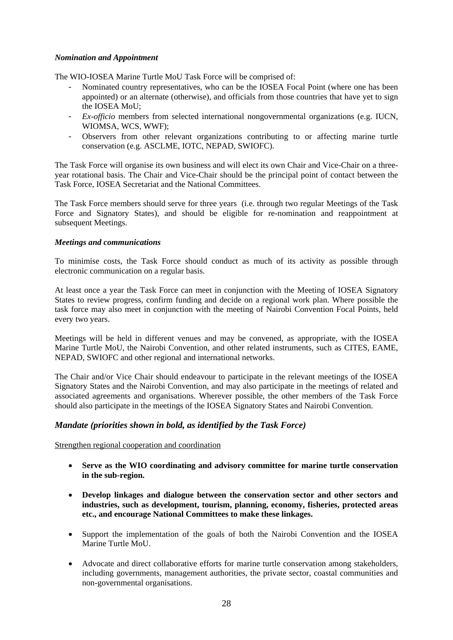#### *Nomination and Appointment*

The WIO-IOSEA Marine Turtle MoU Task Force will be comprised of:

- Nominated country representatives, who can be the IOSEA Focal Point (where one has been appointed) or an alternate (otherwise), and officials from those countries that have yet to sign the **IOSEA** MoU:
- *Ex-officio* members from selected international nongovernmental organizations (e.g. IUCN, WIOMSA, WCS, WWF);
- Observers from other relevant organizations contributing to or affecting marine turtle conservation (e.g. ASCLME, IOTC, NEPAD, SWIOFC).

The Task Force will organise its own business and will elect its own Chair and Vice-Chair on a threeyear rotational basis. The Chair and Vice-Chair should be the principal point of contact between the Task Force, IOSEA Secretariat and the National Committees.

The Task Force members should serve for three years (i.e. through two regular Meetings of the Task Force and Signatory States), and should be eligible for re-nomination and reappointment at subsequent Meetings.

#### *Meetings and communications*

To minimise costs, the Task Force should conduct as much of its activity as possible through electronic communication on a regular basis.

At least once a year the Task Force can meet in conjunction with the Meeting of IOSEA Signatory States to review progress, confirm funding and decide on a regional work plan. Where possible the task force may also meet in conjunction with the meeting of Nairobi Convention Focal Points, held every two years.

Meetings will be held in different venues and may be convened, as appropriate, with the IOSEA Marine Turtle MoU, the Nairobi Convention, and other related instruments, such as CITES, EAME, NEPAD, SWIOFC and other regional and international networks.

The Chair and/or Vice Chair should endeavour to participate in the relevant meetings of the IOSEA Signatory States and the Nairobi Convention, and may also participate in the meetings of related and associated agreements and organisations. Wherever possible, the other members of the Task Force should also participate in the meetings of the IOSEA Signatory States and Nairobi Convention.

#### *Mandate (priorities shown in bold, as identified by the Task Force)*

Strengthen regional cooperation and coordination

- **Serve as the WIO coordinating and advisory committee for marine turtle conservation in the sub-region.**
- **Develop linkages and dialogue between the conservation sector and other sectors and industries, such as development, tourism, planning, economy, fisheries, protected areas etc., and encourage National Committees to make these linkages.**
- Support the implementation of the goals of both the Nairobi Convention and the IOSEA Marine Turtle MoU.
- Advocate and direct collaborative efforts for marine turtle conservation among stakeholders, including governments, management authorities, the private sector, coastal communities and non-governmental organisations.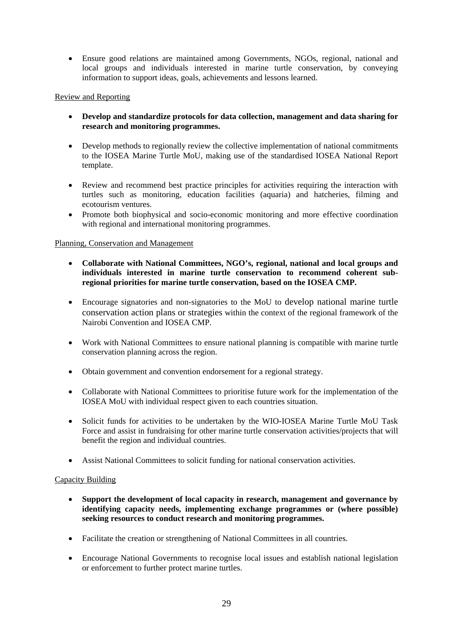• Ensure good relations are maintained among Governments, NGOs, regional, national and local groups and individuals interested in marine turtle conservation, by conveying information to support ideas, goals, achievements and lessons learned.

#### Review and Reporting

- **Develop and standardize protocols for data collection, management and data sharing for research and monitoring programmes.**
- Develop methods to regionally review the collective implementation of national commitments to the IOSEA Marine Turtle MoU, making use of the standardised IOSEA National Report template.
- Review and recommend best practice principles for activities requiring the interaction with turtles such as monitoring, education facilities (aquaria) and hatcheries, filming and ecotourism ventures.
- Promote both biophysical and socio-economic monitoring and more effective coordination with regional and international monitoring programmes.

#### Planning, Conservation and Management

- **Collaborate with National Committees, NGO's, regional, national and local groups and individuals interested in marine turtle conservation to recommend coherent subregional priorities for marine turtle conservation, based on the IOSEA CMP.**
- Encourage signatories and non-signatories to the MoU to develop national marine turtle conservation action plans or strategies within the context of the regional framework of the Nairobi Convention and IOSEA CMP.
- Work with National Committees to ensure national planning is compatible with marine turtle conservation planning across the region.
- Obtain government and convention endorsement for a regional strategy.
- Collaborate with National Committees to prioritise future work for the implementation of the IOSEA MoU with individual respect given to each countries situation.
- Solicit funds for activities to be undertaken by the WIO-IOSEA Marine Turtle MoU Task Force and assist in fundraising for other marine turtle conservation activities/projects that will benefit the region and individual countries.
- Assist National Committees to solicit funding for national conservation activities.

#### Capacity Building

- **Support the development of local capacity in research, management and governance by identifying capacity needs, implementing exchange programmes or (where possible) seeking resources to conduct research and monitoring programmes.**
- Facilitate the creation or strengthening of National Committees in all countries.
- Encourage National Governments to recognise local issues and establish national legislation or enforcement to further protect marine turtles.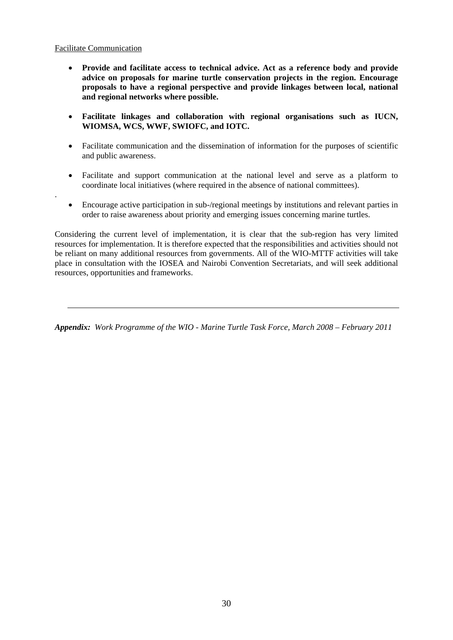#### Facilitate Communication

.

- **Provide and facilitate access to technical advice. Act as a reference body and provide advice on proposals for marine turtle conservation projects in the region. Encourage proposals to have a regional perspective and provide linkages between local, national and regional networks where possible.**
- **Facilitate linkages and collaboration with regional organisations such as IUCN, WIOMSA, WCS, WWF, SWIOFC, and IOTC.**
- Facilitate communication and the dissemination of information for the purposes of scientific and public awareness.
- Facilitate and support communication at the national level and serve as a platform to coordinate local initiatives (where required in the absence of national committees).
- Encourage active participation in sub-/regional meetings by institutions and relevant parties in order to raise awareness about priority and emerging issues concerning marine turtles.

Considering the current level of implementation, it is clear that the sub-region has very limited resources for implementation. It is therefore expected that the responsibilities and activities should not be reliant on many additional resources from governments. All of the WIO-MTTF activities will take place in consultation with the IOSEA and Nairobi Convention Secretariats, and will seek additional resources, opportunities and frameworks.

*Appendix: Work Programme of the WIO - Marine Turtle Task Force, March 2008 – February 2011*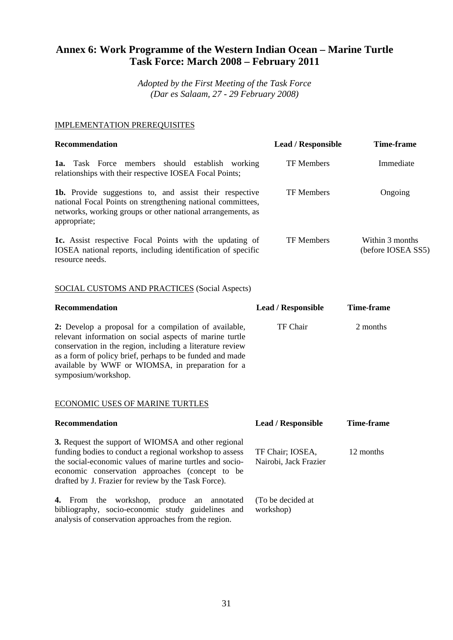# **Annex 6: Work Programme of the Western Indian Ocean – Marine Turtle Task Force: March 2008 – February 2011**

*Adopted by the First Meeting of the Task Force (Dar es Salaam, 27 - 29 February 2008)*

#### IMPLEMENTATION PREREQUISITES

| <b>Recommendation</b>                                                                                                                                                                                                                                                                                                | <b>Lead / Responsible</b>                 | <b>Time-frame</b>                     |
|----------------------------------------------------------------------------------------------------------------------------------------------------------------------------------------------------------------------------------------------------------------------------------------------------------------------|-------------------------------------------|---------------------------------------|
| 1a. Task Force members should establish working<br>relationships with their respective IOSEA Focal Points;                                                                                                                                                                                                           | <b>TF Members</b>                         | Immediate                             |
| 1b. Provide suggestions to, and assist their respective<br>national Focal Points on strengthening national committees,<br>networks, working groups or other national arrangements, as<br>appropriate;                                                                                                                | <b>TF Members</b>                         | Ongoing                               |
| <b>1c.</b> Assist respective Focal Points with the updating of<br>IOSEA national reports, including identification of specific<br>resource needs.                                                                                                                                                                    | <b>TF Members</b>                         | Within 3 months<br>(before IOSEA SS5) |
| <b>SOCIAL CUSTOMS AND PRACTICES (Social Aspects)</b>                                                                                                                                                                                                                                                                 |                                           |                                       |
| <b>Recommendation</b>                                                                                                                                                                                                                                                                                                | <b>Lead / Responsible</b>                 | <b>Time-frame</b>                     |
| 2: Develop a proposal for a compilation of available,<br>relevant information on social aspects of marine turtle<br>conservation in the region, including a literature review<br>as a form of policy brief, perhaps to be funded and made<br>available by WWF or WIOMSA, in preparation for a<br>symposium/workshop. | TF Chair                                  | 2 months                              |
| <b>ECONOMIC USES OF MARINE TURTLES</b>                                                                                                                                                                                                                                                                               |                                           |                                       |
| <b>Recommendation</b>                                                                                                                                                                                                                                                                                                | <b>Lead / Responsible</b>                 | <b>Time-frame</b>                     |
| 3. Request the support of WIOMSA and other regional<br>funding bodies to conduct a regional workshop to assess<br>the social-economic values of marine turtles and socio-<br>economic conservation approaches (concept to be<br>drafted by J. Frazier for review by the Task Force).                                 | TF Chair; IOSEA,<br>Nairobi, Jack Frazier | 12 months                             |
| 4. From the workshop, produce an annotated<br>bibliography, socio-economic study guidelines and<br>analysis of conservation approaches from the region.                                                                                                                                                              | (To be decided at<br>workshop)            |                                       |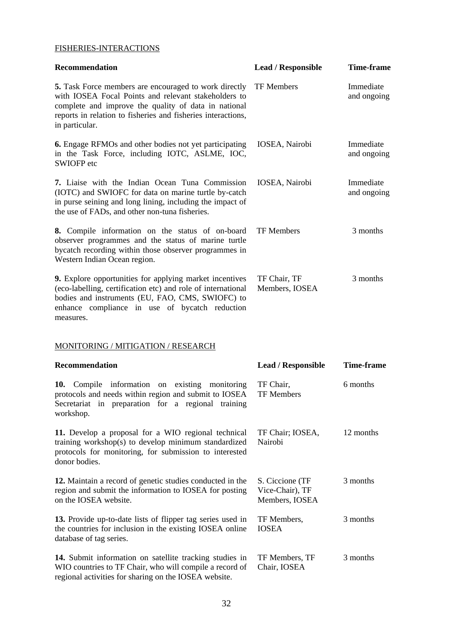## FISHERIES-INTERACTIONS

| <b>Recommendation</b>                                                                                                                                                                                                                                   | <b>Lead / Responsible</b>                            | <b>Time-frame</b>        |
|---------------------------------------------------------------------------------------------------------------------------------------------------------------------------------------------------------------------------------------------------------|------------------------------------------------------|--------------------------|
| 5. Task Force members are encouraged to work directly<br>with IOSEA Focal Points and relevant stakeholders to<br>complete and improve the quality of data in national<br>reports in relation to fisheries and fisheries interactions,<br>in particular. | <b>TF Members</b>                                    | Immediate<br>and ongoing |
| <b>6.</b> Engage RFMOs and other bodies not yet participating<br>in the Task Force, including IOTC, ASLME, IOC,<br>SWIOFP etc                                                                                                                           | IOSEA, Nairobi                                       | Immediate<br>and ongoing |
| 7. Liaise with the Indian Ocean Tuna Commission<br>(IOTC) and SWIOFC for data on marine turtle by-catch<br>in purse seining and long lining, including the impact of<br>the use of FADs, and other non-tuna fisheries.                                  | IOSEA, Nairobi                                       | Immediate<br>and ongoing |
| 8. Compile information on the status of on-board<br>observer programmes and the status of marine turtle<br>bycatch recording within those observer programmes in<br>Western Indian Ocean region.                                                        | <b>TF</b> Members                                    | 3 months                 |
| 9. Explore opportunities for applying market incentives<br>(eco-labelling, certification etc) and role of international<br>bodies and instruments (EU, FAO, CMS, SWIOFC) to<br>enhance compliance in use of bycatch reduction<br>measures.              | TF Chair, TF<br>Members, IOSEA                       | 3 months                 |
| MONITORING / MITIGATION / RESEARCH                                                                                                                                                                                                                      |                                                      |                          |
| <b>Recommendation</b>                                                                                                                                                                                                                                   | <b>Lead / Responsible</b>                            | <b>Time-frame</b>        |
| Compile information on existing monitoring<br>10.<br>protocols and needs within region and submit to IOSEA<br>Secretariat in preparation for a regional training<br>workshop.                                                                           | TF Chair,<br><b>TF Members</b>                       | 6 months                 |
| 11. Develop a proposal for a WIO regional technical<br>training workshop(s) to develop minimum standardized<br>protocols for monitoring, for submission to interested<br>donor bodies.                                                                  | TF Chair; IOSEA,<br>Nairobi                          | 12 months                |
| 12. Maintain a record of genetic studies conducted in the<br>region and submit the information to IOSEA for posting<br>on the IOSEA website.                                                                                                            | S. Ciccione (TF<br>Vice-Chair), TF<br>Members, IOSEA | 3 months                 |
| 13. Provide up-to-date lists of flipper tag series used in<br>the countries for inclusion in the existing IOSEA online<br>database of tag series.                                                                                                       | TF Members,<br><b>IOSEA</b>                          | 3 months                 |
| 14. Submit information on satellite tracking studies in<br>WIO countries to TF Chair, who will compile a record of                                                                                                                                      | TF Members, TF<br>Chair, IOSEA                       | 3 months                 |

regional activities for sharing on the IOSEA website.